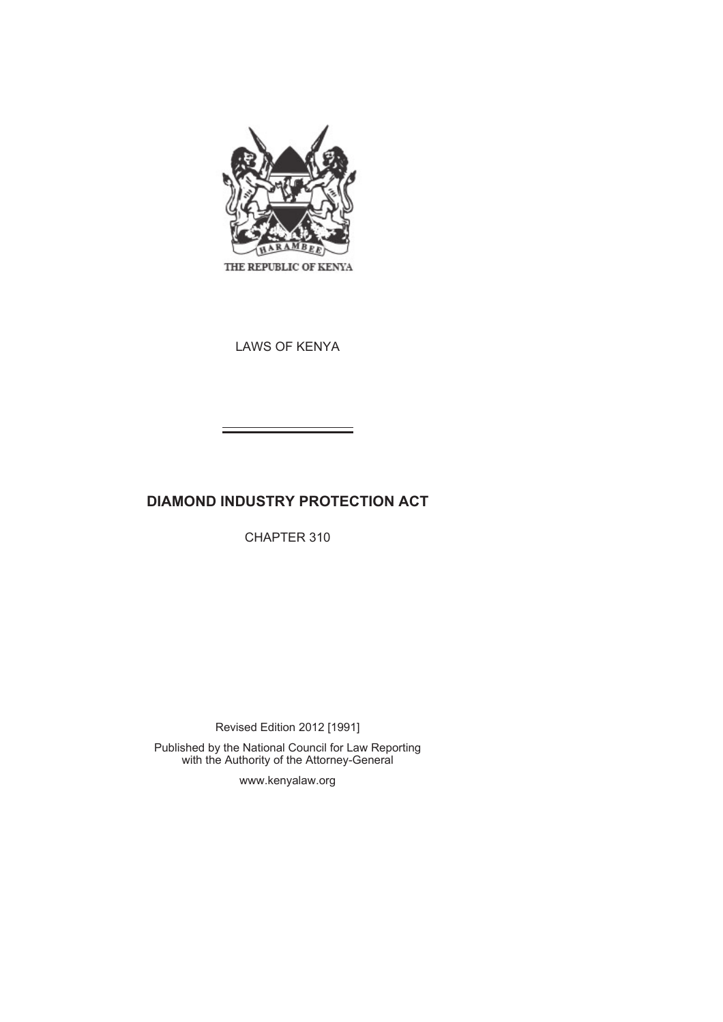

THE REPUBLIC OF KENYA

LAWS OF KENYA

# **DIAMOND INDUSTRY PROTECTION ACT**

CHAPTER 310

Revised Edition 2012 [1991]

Published by the National Council for Law Reporting with the Authority of the Attorney-General

www.kenyalaw.org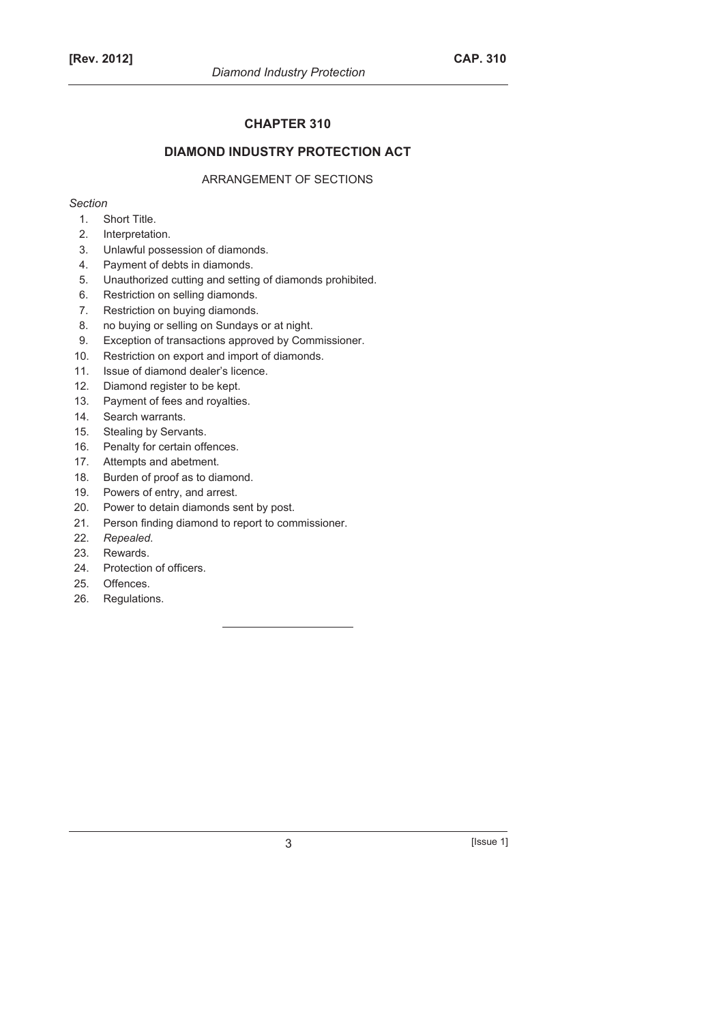# **CHAPTER 310**

# **DIAMOND INDUSTRY PROTECTION ACT**

# ARRANGEMENT OF SECTIONS

# *Section*

- 1. Short Title.
- 2. Interpretation.
- 3. Unlawful possession of diamonds.
- 4. Payment of debts in diamonds.
- 5. Unauthorized cutting and setting of diamonds prohibited.
- 6. Restriction on selling diamonds.
- 7. Restriction on buying diamonds.
- 8. no buying or selling on Sundays or at night.
- 9. Exception of transactions approved by Commissioner.
- 10. Restriction on export and import of diamonds.
- 11. Issue of diamond dealer's licence.
- 12. Diamond register to be kept.
- 13. Payment of fees and royalties.
- 14. Search warrants.
- 15. Stealing by Servants.
- 16. Penalty for certain offences.
- 17. Attempts and abetment.
- 18. Burden of proof as to diamond.
- 19. Powers of entry, and arrest.
- 20. Power to detain diamonds sent by post.
- 21. Person finding diamond to report to commissioner.
- 22. *Repealed*.
- 23. Rewards.
- 24. Protection of officers.
- 25. Offences.
- 26. Regulations.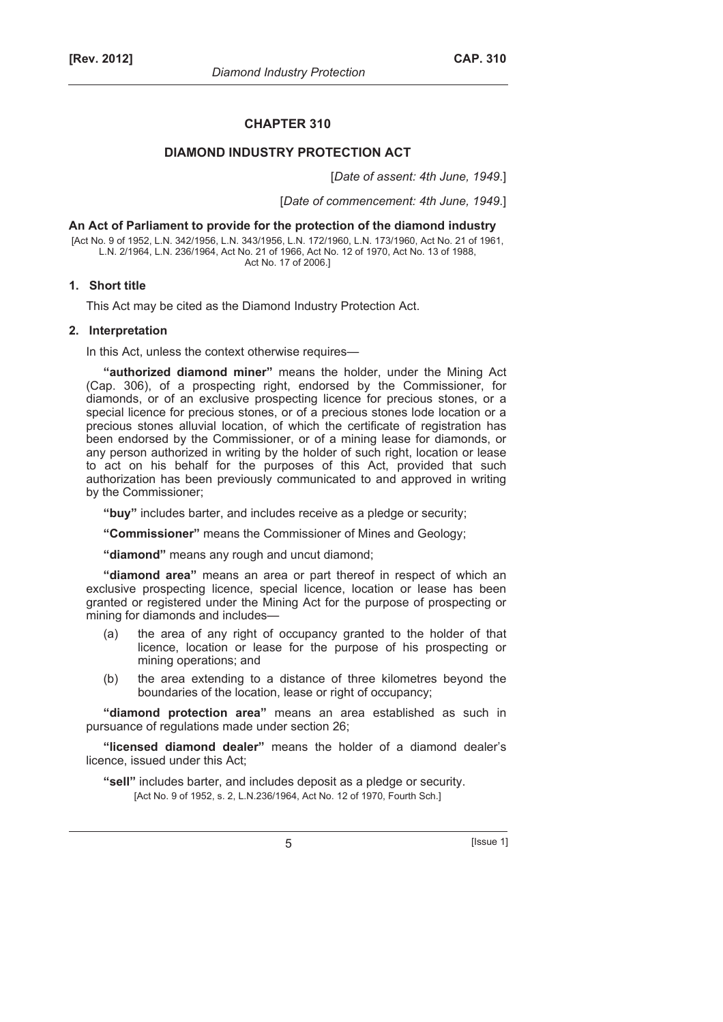# **CHAPTER 310**

# **DIAMOND INDUSTRY PROTECTION ACT**

[*Date of assent: 4th June, 1949*.]

[*Date of commencement: 4th June, 1949*.]

### **An Act of Parliament to provide for the protection of the diamond industry**

[Act No. 9 of 1952, L.N. 342/1956, L.N. 343/1956, L.N. 172/1960, L.N. 173/1960, Act No. 21 of 1961, L.N. 2/1964, L.N. 236/1964, Act No. 21 of 1966, Act No. 12 of 1970, Act No. 13 of 1988, Act No. 17 of 2006.]

# **1. Short title**

This Act may be cited as the Diamond Industry Protection Act.

# **2. Interpretation**

In this Act, unless the context otherwise requires—

**"authorized diamond miner"** means the holder, under the Mining Act (Cap. 306), of a prospecting right, endorsed by the Commissioner, for diamonds, or of an exclusive prospecting licence for precious stones, or a special licence for precious stones, or of a precious stones lode location or a precious stones alluvial location, of which the certificate of registration has been endorsed by the Commissioner, or of a mining lease for diamonds, or any person authorized in writing by the holder of such right, location or lease to act on his behalf for the purposes of this Act, provided that such authorization has been previously communicated to and approved in writing by the Commissioner;

**"buy"** includes barter, and includes receive as a pledge or security;

**"Commissioner"** means the Commissioner of Mines and Geology;

**"diamond"** means any rough and uncut diamond;

**"diamond area"** means an area or part thereof in respect of which an exclusive prospecting licence, special licence, location or lease has been granted or registered under the Mining Act for the purpose of prospecting or mining for diamonds and includes—

- (a) the area of any right of occupancy granted to the holder of that licence, location or lease for the purpose of his prospecting or mining operations; and
- (b) the area extending to a distance of three kilometres beyond the boundaries of the location, lease or right of occupancy;

**"diamond protection area"** means an area established as such in pursuance of regulations made under section 26;

**"licensed diamond dealer"** means the holder of a diamond dealer's licence, issued under this Act;

**"sell"** includes barter, and includes deposit as a pledge or security. [Act No. 9 of 1952, s. 2, L.N.236/1964, Act No. 12 of 1970, Fourth Sch.]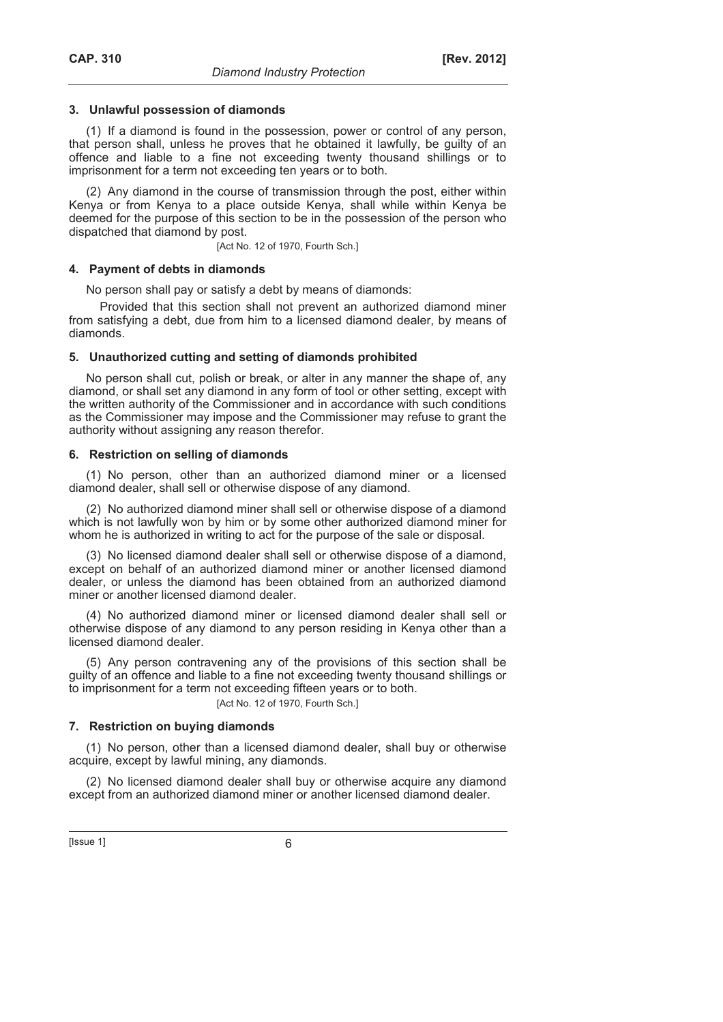# **3. Unlawful possession of diamonds**

(1) If a diamond is found in the possession, power or control of any person, that person shall, unless he proves that he obtained it lawfully, be guilty of an offence and liable to a fine not exceeding twenty thousand shillings or to imprisonment for a term not exceeding ten years or to both.

(2) Any diamond in the course of transmission through the post, either within Kenya or from Kenya to a place outside Kenya, shall while within Kenya be deemed for the purpose of this section to be in the possession of the person who dispatched that diamond by post.

[Act No. 12 of 1970, Fourth Sch.]

### **4. Payment of debts in diamonds**

No person shall pay or satisfy a debt by means of diamonds:

Provided that this section shall not prevent an authorized diamond miner from satisfying a debt, due from him to a licensed diamond dealer, by means of diamonds.

# **5. Unauthorized cutting and setting of diamonds prohibited**

No person shall cut, polish or break, or alter in any manner the shape of, any diamond, or shall set any diamond in any form of tool or other setting, except with the written authority of the Commissioner and in accordance with such conditions as the Commissioner may impose and the Commissioner may refuse to grant the authority without assigning any reason therefor.

# **6. Restriction on selling of diamonds**

(1) No person, other than an authorized diamond miner or a licensed diamond dealer, shall sell or otherwise dispose of any diamond.

(2) No authorized diamond miner shall sell or otherwise dispose of a diamond which is not lawfully won by him or by some other authorized diamond miner for whom he is authorized in writing to act for the purpose of the sale or disposal.

(3) No licensed diamond dealer shall sell or otherwise dispose of a diamond, except on behalf of an authorized diamond miner or another licensed diamond dealer, or unless the diamond has been obtained from an authorized diamond miner or another licensed diamond dealer.

(4) No authorized diamond miner or licensed diamond dealer shall sell or otherwise dispose of any diamond to any person residing in Kenya other than a licensed diamond dealer.

(5) Any person contravening any of the provisions of this section shall be guilty of an offence and liable to a fine not exceeding twenty thousand shillings or to imprisonment for a term not exceeding fifteen years or to both.

[Act No. 12 of 1970, Fourth Sch.]

# **7. Restriction on buying diamonds**

(1) No person, other than a licensed diamond dealer, shall buy or otherwise acquire, except by lawful mining, any diamonds.

(2) No licensed diamond dealer shall buy or otherwise acquire any diamond except from an authorized diamond miner or another licensed diamond dealer.

 $[|$  Issue 1 $]$  6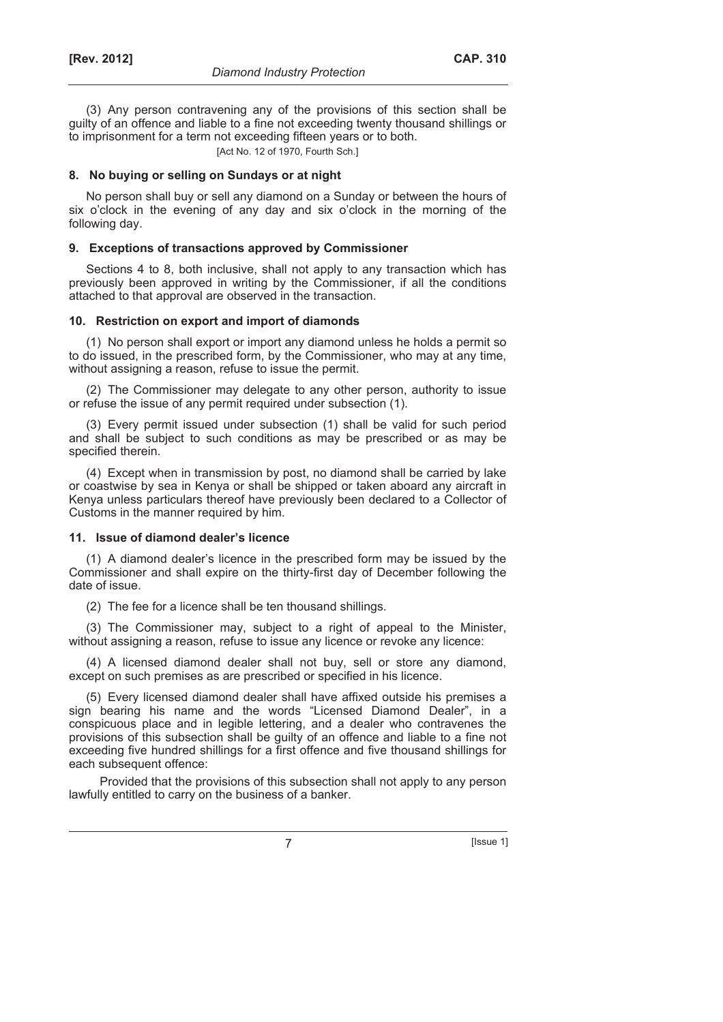(3) Any person contravening any of the provisions of this section shall be guilty of an offence and liable to a fine not exceeding twenty thousand shillings or to imprisonment for a term not exceeding fifteen years or to both.

[Act No. 12 of 1970, Fourth Sch.]

# **8. No buying or selling on Sundays or at night**

No person shall buy or sell any diamond on a Sunday or between the hours of six o'clock in the evening of any day and six o'clock in the morning of the following day.

# **9. Exceptions of transactions approved by Commissioner**

Sections 4 to 8, both inclusive, shall not apply to any transaction which has previously been approved in writing by the Commissioner, if all the conditions attached to that approval are observed in the transaction.

# **10. Restriction on export and import of diamonds**

(1) No person shall export or import any diamond unless he holds a permit so to do issued, in the prescribed form, by the Commissioner, who may at any time, without assigning a reason, refuse to issue the permit.

(2) The Commissioner may delegate to any other person, authority to issue or refuse the issue of any permit required under subsection (1).

(3) Every permit issued under subsection (1) shall be valid for such period and shall be subject to such conditions as may be prescribed or as may be specified therein.

(4) Except when in transmission by post, no diamond shall be carried by lake or coastwise by sea in Kenya or shall be shipped or taken aboard any aircraft in Kenya unless particulars thereof have previously been declared to a Collector of Customs in the manner required by him.

# **11. Issue of diamond dealer's licence**

(1) A diamond dealer's licence in the prescribed form may be issued by the Commissioner and shall expire on the thirty-first day of December following the date of issue.

(2) The fee for a licence shall be ten thousand shillings.

(3) The Commissioner may, subject to a right of appeal to the Minister, without assigning a reason, refuse to issue any licence or revoke any licence:

(4) A licensed diamond dealer shall not buy, sell or store any diamond, except on such premises as are prescribed or specified in his licence.

(5) Every licensed diamond dealer shall have affixed outside his premises a sign bearing his name and the words "Licensed Diamond Dealer", in a conspicuous place and in legible lettering, and a dealer who contravenes the provisions of this subsection shall be guilty of an offence and liable to a fine not exceeding five hundred shillings for a first offence and five thousand shillings for each subsequent offence:

Provided that the provisions of this subsection shall not apply to any person lawfully entitled to carry on the business of a banker.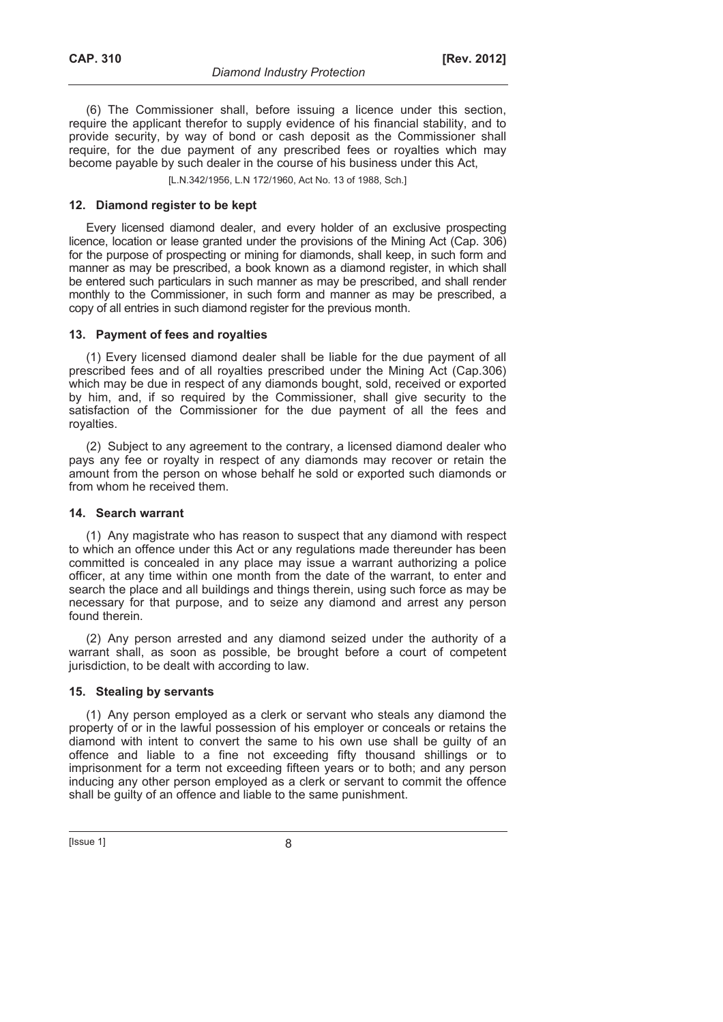(6) The Commissioner shall, before issuing a licence under this section, require the applicant therefor to supply evidence of his financial stability, and to provide security, by way of bond or cash deposit as the Commissioner shall require, for the due payment of any prescribed fees or royalties which may become payable by such dealer in the course of his business under this Act,

[L.N.342/1956, L.N 172/1960, Act No. 13 of 1988, Sch.]

# **12. Diamond register to be kept**

Every licensed diamond dealer, and every holder of an exclusive prospecting licence, location or lease granted under the provisions of the Mining Act (Cap. 306) for the purpose of prospecting or mining for diamonds, shall keep, in such form and manner as may be prescribed, a book known as a diamond register, in which shall be entered such particulars in such manner as may be prescribed, and shall render monthly to the Commissioner, in such form and manner as may be prescribed, a copy of all entries in such diamond register for the previous month.

# **13. Payment of fees and royalties**

(1) Every licensed diamond dealer shall be liable for the due payment of all prescribed fees and of all royalties prescribed under the Mining Act (Cap.306) which may be due in respect of any diamonds bought, sold, received or exported by him, and, if so required by the Commissioner, shall give security to the satisfaction of the Commissioner for the due payment of all the fees and royalties.

(2) Subject to any agreement to the contrary, a licensed diamond dealer who pays any fee or royalty in respect of any diamonds may recover or retain the amount from the person on whose behalf he sold or exported such diamonds or from whom he received them.

# **14. Search warrant**

(1) Any magistrate who has reason to suspect that any diamond with respect to which an offence under this Act or any regulations made thereunder has been committed is concealed in any place may issue a warrant authorizing a police officer, at any time within one month from the date of the warrant, to enter and search the place and all buildings and things therein, using such force as may be necessary for that purpose, and to seize any diamond and arrest any person found therein.

(2) Any person arrested and any diamond seized under the authority of a warrant shall, as soon as possible, be brought before a court of competent jurisdiction, to be dealt with according to law.

# **15. Stealing by servants**

(1) Any person employed as a clerk or servant who steals any diamond the property of or in the lawful possession of his employer or conceals or retains the diamond with intent to convert the same to his own use shall be guilty of an offence and liable to a fine not exceeding fifty thousand shillings or to imprisonment for a term not exceeding fifteen years or to both; and any person inducing any other person employed as a clerk or servant to commit the offence shall be guilty of an offence and liable to the same punishment.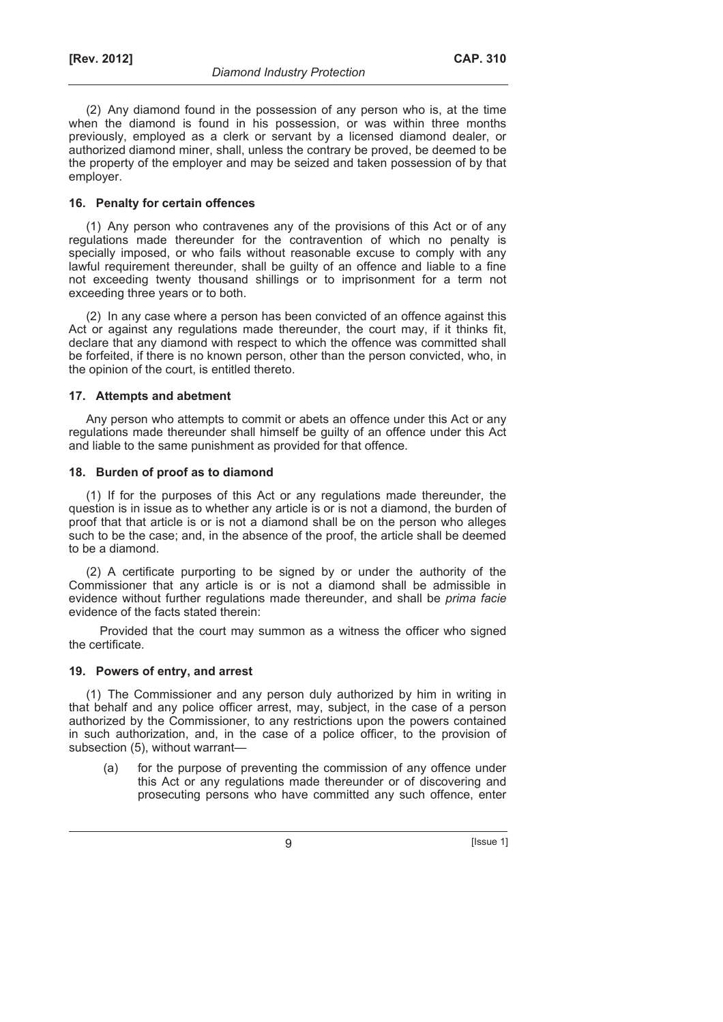(2) Any diamond found in the possession of any person who is, at the time when the diamond is found in his possession, or was within three months previously, employed as a clerk or servant by a licensed diamond dealer, or authorized diamond miner, shall, unless the contrary be proved, be deemed to be the property of the employer and may be seized and taken possession of by that employer.

# **16. Penalty for certain offences**

(1) Any person who contravenes any of the provisions of this Act or of any regulations made thereunder for the contravention of which no penalty is specially imposed, or who fails without reasonable excuse to comply with any lawful requirement thereunder, shall be guilty of an offence and liable to a fine not exceeding twenty thousand shillings or to imprisonment for a term not exceeding three years or to both.

(2) In any case where a person has been convicted of an offence against this Act or against any regulations made thereunder, the court may, if it thinks fit, declare that any diamond with respect to which the offence was committed shall be forfeited, if there is no known person, other than the person convicted, who, in the opinion of the court, is entitled thereto.

# **17. Attempts and abetment**

Any person who attempts to commit or abets an offence under this Act or any regulations made thereunder shall himself be guilty of an offence under this Act and liable to the same punishment as provided for that offence.

# **18. Burden of proof as to diamond**

(1) If for the purposes of this Act or any regulations made thereunder, the question is in issue as to whether any article is or is not a diamond, the burden of proof that that article is or is not a diamond shall be on the person who alleges such to be the case; and, in the absence of the proof, the article shall be deemed to be a diamond.

(2) A certificate purporting to be signed by or under the authority of the Commissioner that any article is or is not a diamond shall be admissible in evidence without further regulations made thereunder, and shall be *prima facie* evidence of the facts stated therein:

Provided that the court may summon as a witness the officer who signed the certificate.

# **19. Powers of entry, and arrest**

(1) The Commissioner and any person duly authorized by him in writing in that behalf and any police officer arrest, may, subject, in the case of a person authorized by the Commissioner, to any restrictions upon the powers contained in such authorization, and, in the case of a police officer, to the provision of subsection (5), without warrant—

 (a) for the purpose of preventing the commission of any offence under this Act or any regulations made thereunder or of discovering and prosecuting persons who have committed any such offence, enter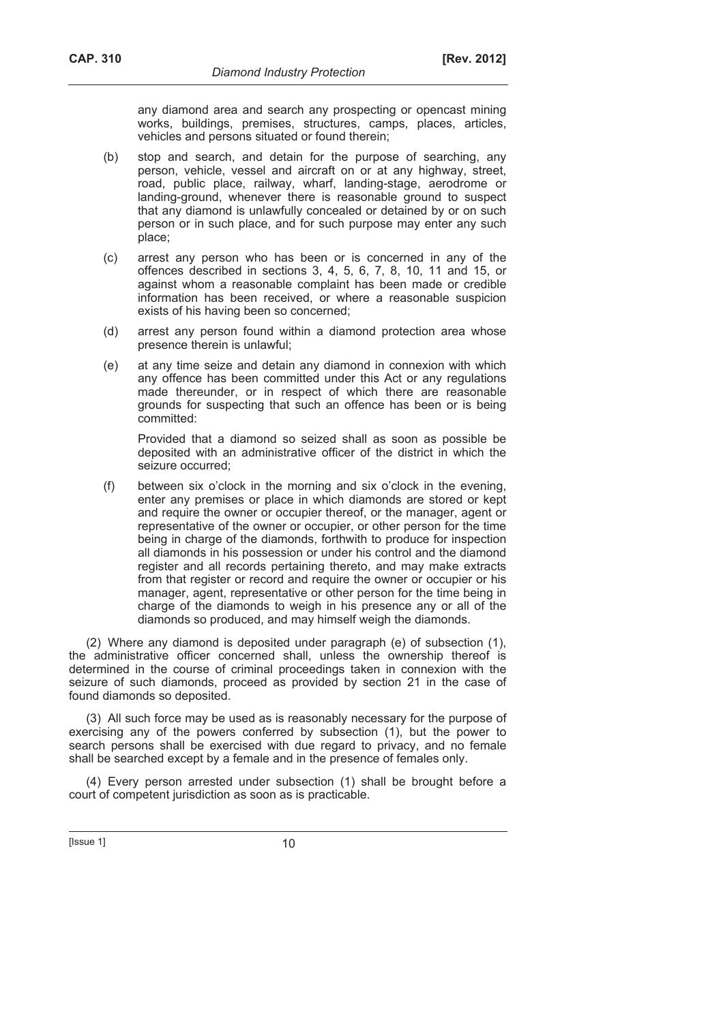any diamond area and search any prospecting or opencast mining works, buildings, premises, structures, camps, places, articles, vehicles and persons situated or found therein;

- (b) stop and search, and detain for the purpose of searching, any person, vehicle, vessel and aircraft on or at any highway, street, road, public place, railway, wharf, landing-stage, aerodrome or landing-ground, whenever there is reasonable ground to suspect that any diamond is unlawfully concealed or detained by or on such person or in such place, and for such purpose may enter any such place;
- (c) arrest any person who has been or is concerned in any of the offences described in sections 3, 4, 5, 6, 7, 8, 10, 11 and 15, or against whom a reasonable complaint has been made or credible information has been received, or where a reasonable suspicion exists of his having been so concerned;
- (d) arrest any person found within a diamond protection area whose presence therein is unlawful;
- (e) at any time seize and detain any diamond in connexion with which any offence has been committed under this Act or any regulations made thereunder, or in respect of which there are reasonable grounds for suspecting that such an offence has been or is being committed:

 Provided that a diamond so seized shall as soon as possible be deposited with an administrative officer of the district in which the seizure occurred;

 (f) between six o'clock in the morning and six o'clock in the evening, enter any premises or place in which diamonds are stored or kept and require the owner or occupier thereof, or the manager, agent or representative of the owner or occupier, or other person for the time being in charge of the diamonds, forthwith to produce for inspection all diamonds in his possession or under his control and the diamond register and all records pertaining thereto, and may make extracts from that register or record and require the owner or occupier or his manager, agent, representative or other person for the time being in charge of the diamonds to weigh in his presence any or all of the diamonds so produced, and may himself weigh the diamonds.

(2) Where any diamond is deposited under paragraph (e) of subsection (1), the administrative officer concerned shall, unless the ownership thereof is determined in the course of criminal proceedings taken in connexion with the seizure of such diamonds, proceed as provided by section 21 in the case of found diamonds so deposited.

(3) All such force may be used as is reasonably necessary for the purpose of exercising any of the powers conferred by subsection (1), but the power to search persons shall be exercised with due regard to privacy, and no female shall be searched except by a female and in the presence of females only.

(4) Every person arrested under subsection (1) shall be brought before a court of competent jurisdiction as soon as is practicable.

 $[|$  Issue 1 $|$  10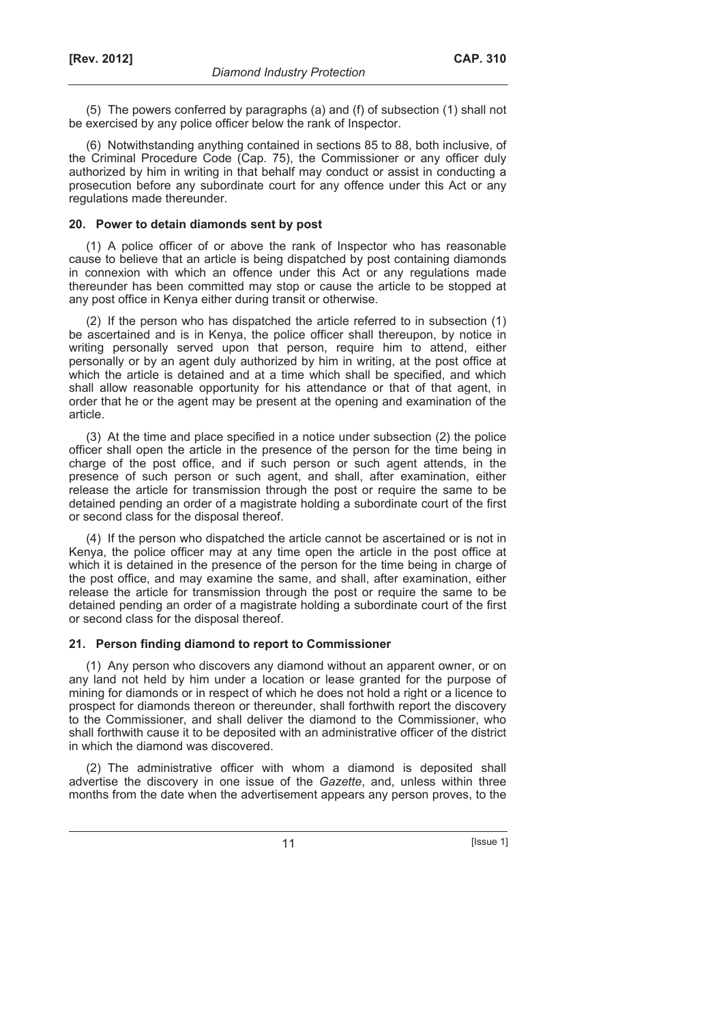(5) The powers conferred by paragraphs (a) and (f) of subsection (1) shall not be exercised by any police officer below the rank of Inspector.

(6) Notwithstanding anything contained in sections 85 to 88, both inclusive, of the Criminal Procedure Code (Cap. 75), the Commissioner or any officer duly authorized by him in writing in that behalf may conduct or assist in conducting a prosecution before any subordinate court for any offence under this Act or any regulations made thereunder.

# **20. Power to detain diamonds sent by post**

(1) A police officer of or above the rank of Inspector who has reasonable cause to believe that an article is being dispatched by post containing diamonds in connexion with which an offence under this Act or any regulations made thereunder has been committed may stop or cause the article to be stopped at any post office in Kenya either during transit or otherwise.

(2) If the person who has dispatched the article referred to in subsection (1) be ascertained and is in Kenya, the police officer shall thereupon, by notice in writing personally served upon that person, require him to attend, either personally or by an agent duly authorized by him in writing, at the post office at which the article is detained and at a time which shall be specified, and which shall allow reasonable opportunity for his attendance or that of that agent, in order that he or the agent may be present at the opening and examination of the article.

(3) At the time and place specified in a notice under subsection (2) the police officer shall open the article in the presence of the person for the time being in charge of the post office, and if such person or such agent attends, in the presence of such person or such agent, and shall, after examination, either release the article for transmission through the post or require the same to be detained pending an order of a magistrate holding a subordinate court of the first or second class for the disposal thereof.

(4) If the person who dispatched the article cannot be ascertained or is not in Kenya, the police officer may at any time open the article in the post office at which it is detained in the presence of the person for the time being in charge of the post office, and may examine the same, and shall, after examination, either release the article for transmission through the post or require the same to be detained pending an order of a magistrate holding a subordinate court of the first or second class for the disposal thereof.

# **21. Person finding diamond to report to Commissioner**

(1) Any person who discovers any diamond without an apparent owner, or on any land not held by him under a location or lease granted for the purpose of mining for diamonds or in respect of which he does not hold a right or a licence to prospect for diamonds thereon or thereunder, shall forthwith report the discovery to the Commissioner, and shall deliver the diamond to the Commissioner, who shall forthwith cause it to be deposited with an administrative officer of the district in which the diamond was discovered.

(2) The administrative officer with whom a diamond is deposited shall advertise the discovery in one issue of the *Gazette*, and, unless within three months from the date when the advertisement appears any person proves, to the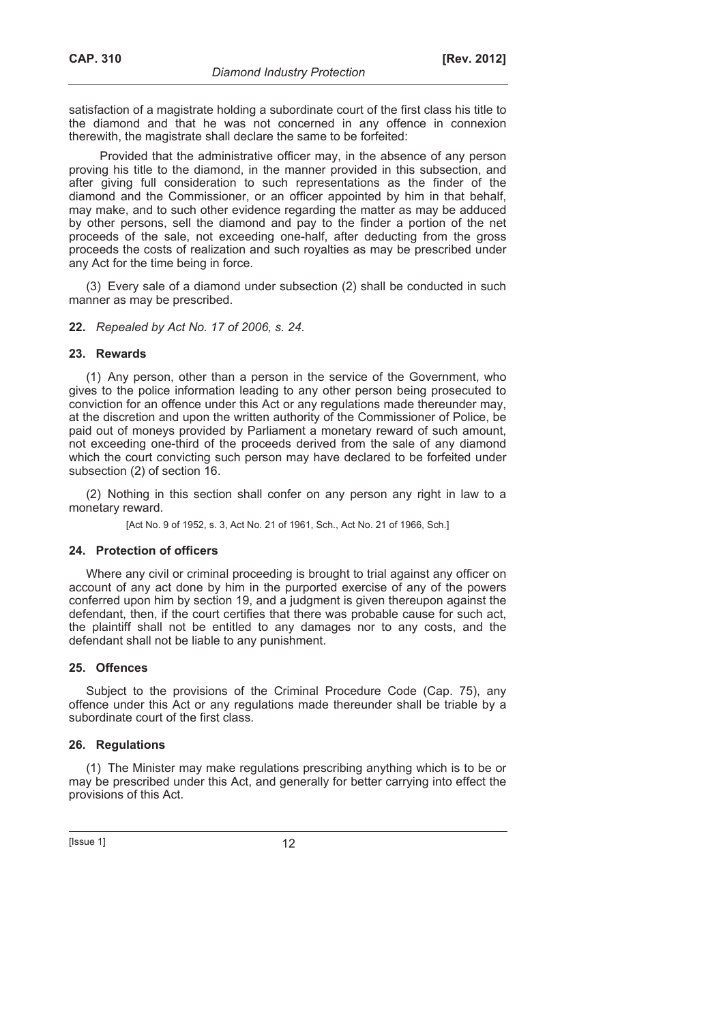satisfaction of a magistrate holding a subordinate court of the first class his title to the diamond and that he was not concerned in any offence in connexion therewith, the magistrate shall declare the same to be forfeited:

Provided that the administrative officer may, in the absence of any person proving his title to the diamond, in the manner provided in this subsection, and after giving full consideration to such representations as the finder of the diamond and the Commissioner, or an officer appointed by him in that behalf, may make, and to such other evidence regarding the matter as may be adduced by other persons, sell the diamond and pay to the finder a portion of the net proceeds of the sale, not exceeding one-half, after deducting from the gross proceeds the costs of realization and such royalties as may be prescribed under any Act for the time being in force.

(3) Every sale of a diamond under subsection (2) shall be conducted in such manner as may be prescribed.

# **22.** *Repealed by Act No. 17 of 2006, s. 24*.

### **23. Rewards**

(1) Any person, other than a person in the service of the Government, who gives to the police information leading to any other person being prosecuted to conviction for an offence under this Act or any regulations made thereunder may, at the discretion and upon the written authority of the Commissioner of Police, be paid out of moneys provided by Parliament a monetary reward of such amount, not exceeding one-third of the proceeds derived from the sale of any diamond which the court convicting such person may have declared to be forfeited under subsection (2) of section 16.

(2) Nothing in this section shall confer on any person any right in law to a monetary reward.

[Act No. 9 of 1952, s. 3, Act No. 21 of 1961, Sch., Act No. 21 of 1966, Sch.]

# **24. Protection of officers**

Where any civil or criminal proceeding is brought to trial against any officer on account of any act done by him in the purported exercise of any of the powers conferred upon him by section 19, and a judgment is given thereupon against the defendant, then, if the court certifies that there was probable cause for such act, the plaintiff shall not be entitled to any damages nor to any costs, and the defendant shall not be liable to any punishment.

### **25. Offences**

Subject to the provisions of the Criminal Procedure Code (Cap. 75), any offence under this Act or any regulations made thereunder shall be triable by a subordinate court of the first class.

# **26. Regulations**

(1) The Minister may make regulations prescribing anything which is to be or may be prescribed under this Act, and generally for better carrying into effect the provisions of this Act.

#### $[|$  Issue 1 $|$  12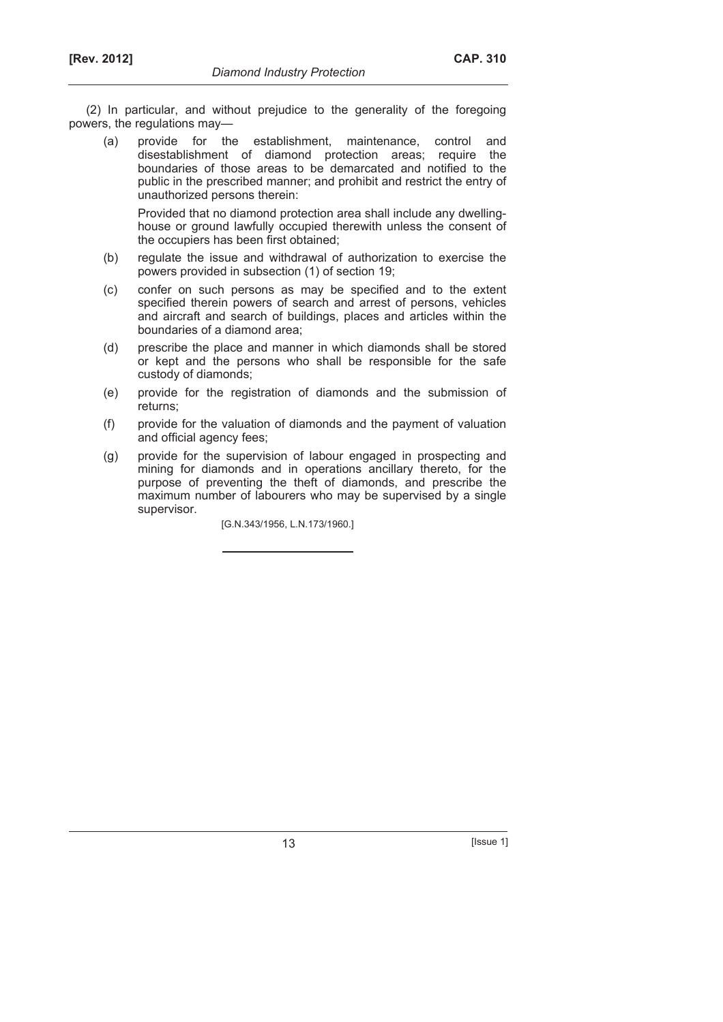(2) In particular, and without prejudice to the generality of the foregoing powers, the regulations may—

 (a) provide for the establishment, maintenance, control and disestablishment of diamond protection areas; require the boundaries of those areas to be demarcated and notified to the public in the prescribed manner; and prohibit and restrict the entry of unauthorized persons therein:

 Provided that no diamond protection area shall include any dwellinghouse or ground lawfully occupied therewith unless the consent of the occupiers has been first obtained;

- (b) regulate the issue and withdrawal of authorization to exercise the powers provided in subsection (1) of section 19;
- (c) confer on such persons as may be specified and to the extent specified therein powers of search and arrest of persons, vehicles and aircraft and search of buildings, places and articles within the boundaries of a diamond area;
- (d) prescribe the place and manner in which diamonds shall be stored or kept and the persons who shall be responsible for the safe custody of diamonds;
- (e) provide for the registration of diamonds and the submission of returns;
- (f) provide for the valuation of diamonds and the payment of valuation and official agency fees;
- (g) provide for the supervision of labour engaged in prospecting and mining for diamonds and in operations ancillary thereto, for the purpose of preventing the theft of diamonds, and prescribe the maximum number of labourers who may be supervised by a single supervisor.

[G.N.343/1956, L.N.173/1960.]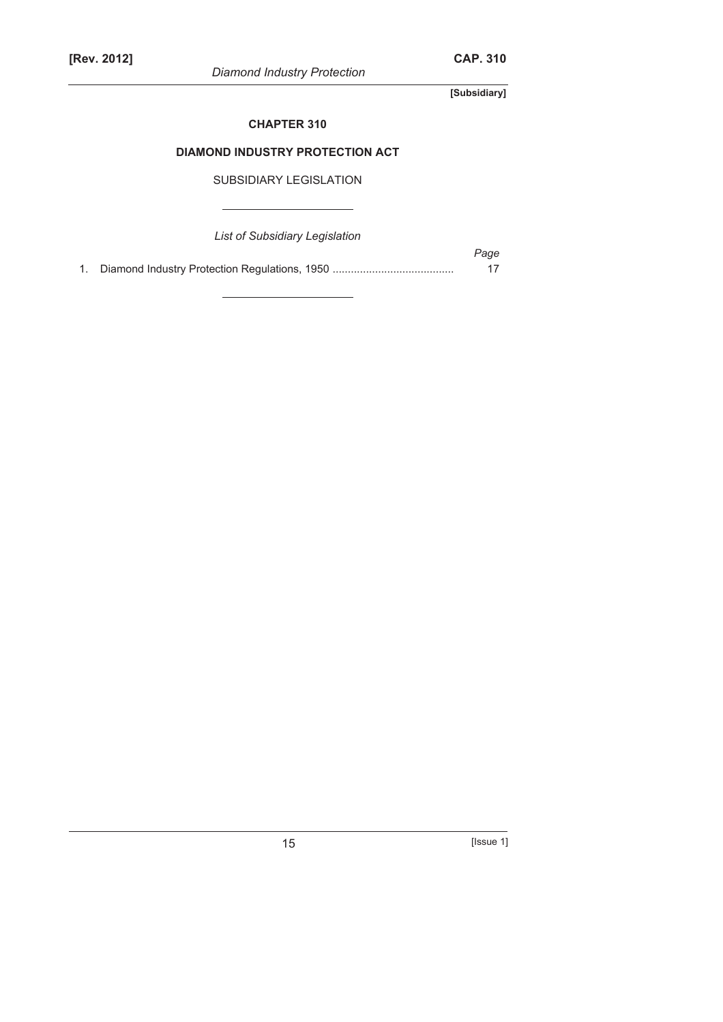*Diamond Industry Protection* 

**[Subsidiary]** 

# **CHAPTER 310**

# **DIAMOND INDUSTRY PROTECTION ACT**

SUBSIDIARY LEGISLATION

*List of Subsidiary Legislation* 

*Page*  1. Diamond Industry Protection Regulations, 1950 ........................................ 17

15 **[Issue 1]**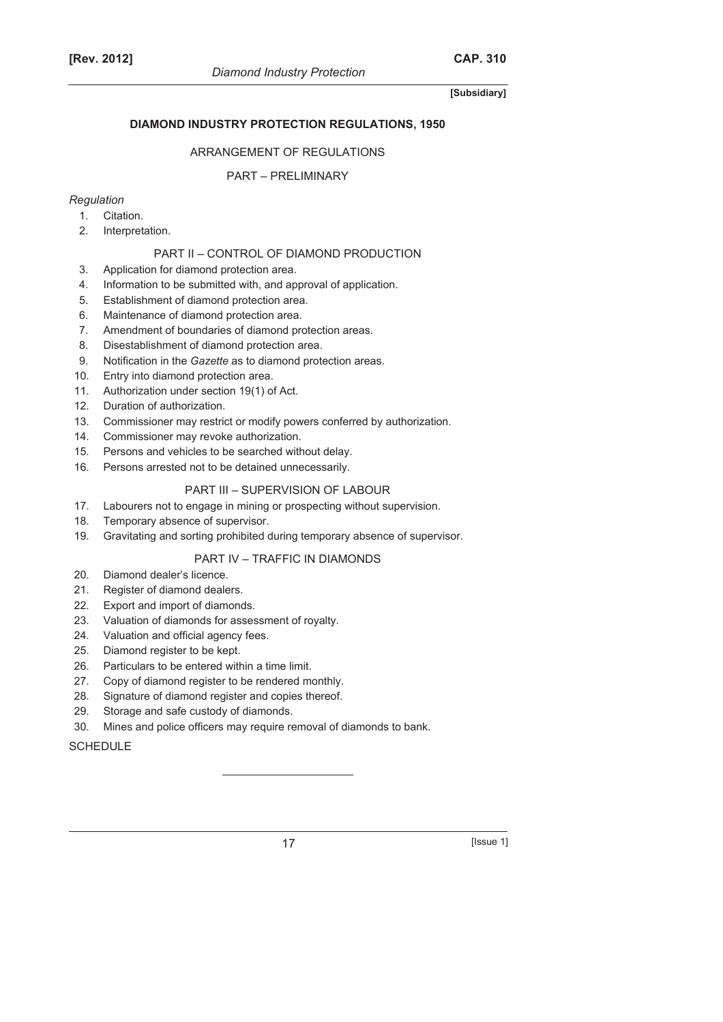# **DIAMOND INDUSTRY PROTECTION REGULATIONS, 1950**

# ARRANGEMENT OF REGULATIONS

# PART – PRELIMINARY

# *Regulation*

- 1. Citation.
- 2. Interpretation.

# PART II – CONTROL OF DIAMOND PRODUCTION

- 3. Application for diamond protection area.
- 4. Information to be submitted with, and approval of application.
- 5. Establishment of diamond protection area.
- 6. Maintenance of diamond protection area.
- 7. Amendment of boundaries of diamond protection areas.
- 8. Disestablishment of diamond protection area.
- 9. Notification in the *Gazette* as to diamond protection areas.
- 10. Entry into diamond protection area.
- 11. Authorization under section 19(1) of Act.
- 12. Duration of authorization.
- 13. Commissioner may restrict or modify powers conferred by authorization.
- 14. Commissioner may revoke authorization.
- 15. Persons and vehicles to be searched without delay.
- 16. Persons arrested not to be detained unnecessarily.

# PART III – SUPERVISION OF LABOUR

- 17. Labourers not to engage in mining or prospecting without supervision.
- 18. Temporary absence of supervisor.
- 19. Gravitating and sorting prohibited during temporary absence of supervisor.

# PART IV – TRAFFIC IN DIAMONDS

- 20. Diamond dealer's licence.
- 21. Register of diamond dealers.
- 22. Export and import of diamonds.
- 23. Valuation of diamonds for assessment of royalty.
- 24. Valuation and official agency fees.
- 25. Diamond register to be kept.
- 26. Particulars to be entered within a time limit.
- 27. Copy of diamond register to be rendered monthly.
- 28. Signature of diamond register and copies thereof.
- 29. Storage and safe custody of diamonds.
- 30. Mines and police officers may require removal of diamonds to bank.

# **SCHEDULE**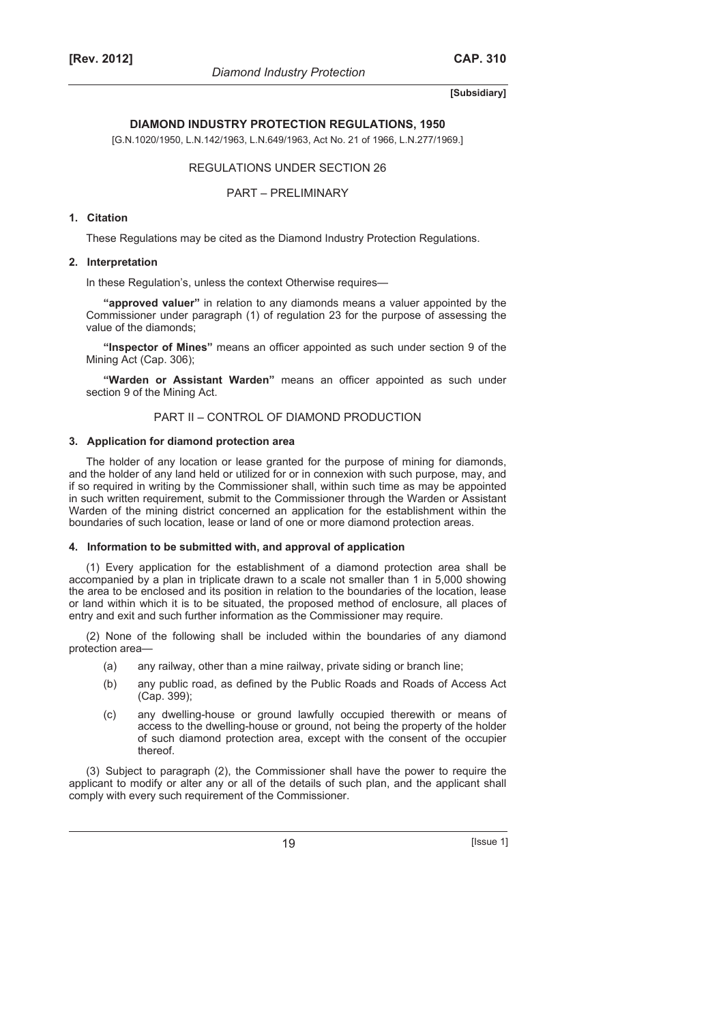*Diamond Industry Protection* 

# **[Subsidiary]**

# **DIAMOND INDUSTRY PROTECTION REGULATIONS, 1950**

[G.N.1020/1950, L.N.142/1963, L.N.649/1963, Act No. 21 of 1966, L.N.277/1969.]

### REGULATIONS UNDER SECTION 26

PART – PRELIMINARY

# **1. Citation**

These Regulations may be cited as the Diamond Industry Protection Regulations.

#### **2. Interpretation**

In these Regulation's, unless the context Otherwise requires—

**"approved valuer"** in relation to any diamonds means a valuer appointed by the Commissioner under paragraph (1) of regulation 23 for the purpose of assessing the value of the diamonds;

**"Inspector of Mines"** means an officer appointed as such under section 9 of the Mining Act (Cap. 306);

**"Warden or Assistant Warden"** means an officer appointed as such under section 9 of the Mining Act.

### PART II – CONTROL OF DIAMOND PRODUCTION

#### **3. Application for diamond protection area**

The holder of any location or lease granted for the purpose of mining for diamonds, and the holder of any land held or utilized for or in connexion with such purpose, may, and if so required in writing by the Commissioner shall, within such time as may be appointed in such written requirement, submit to the Commissioner through the Warden or Assistant Warden of the mining district concerned an application for the establishment within the boundaries of such location, lease or land of one or more diamond protection areas.

#### **4. Information to be submitted with, and approval of application**

(1) Every application for the establishment of a diamond protection area shall be accompanied by a plan in triplicate drawn to a scale not smaller than 1 in 5,000 showing the area to be enclosed and its position in relation to the boundaries of the location, lease or land within which it is to be situated, the proposed method of enclosure, all places of entry and exit and such further information as the Commissioner may require.

(2) None of the following shall be included within the boundaries of any diamond protection area—

- (a) any railway, other than a mine railway, private siding or branch line;
- (b) any public road, as defined by the Public Roads and Roads of Access Act (Cap. 399);
- (c) any dwelling-house or ground lawfully occupied therewith or means of access to the dwelling-house or ground, not being the property of the holder of such diamond protection area, except with the consent of the occupier thereof.

(3) Subject to paragraph (2), the Commissioner shall have the power to require the applicant to modify or alter any or all of the details of such plan, and the applicant shall comply with every such requirement of the Commissioner.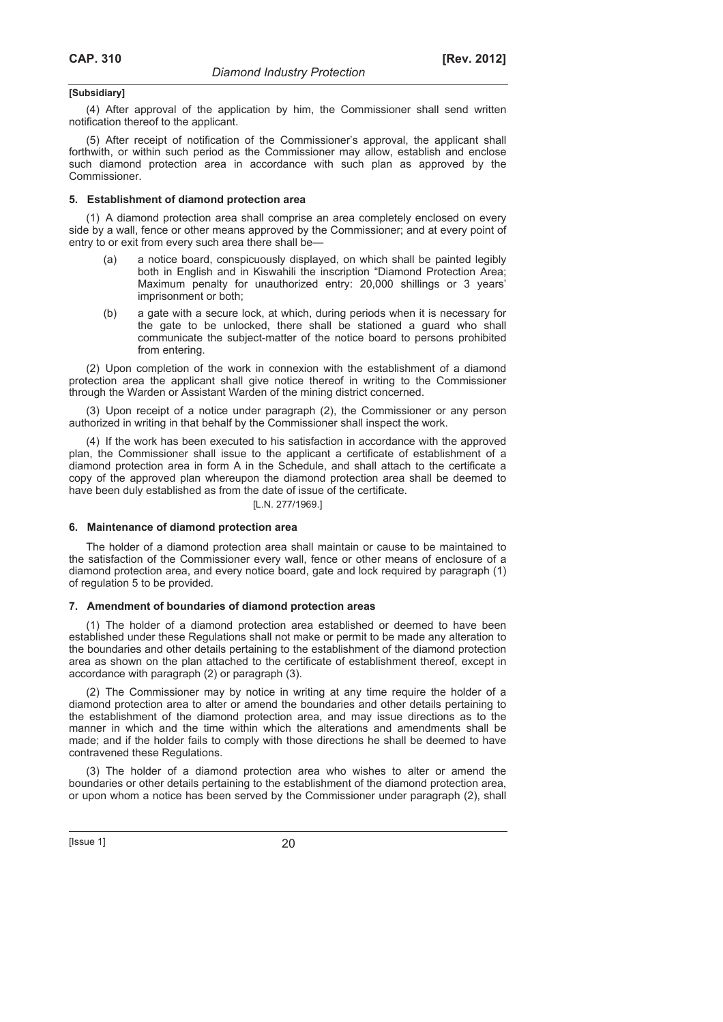(4) After approval of the application by him, the Commissioner shall send written notification thereof to the applicant.

(5) After receipt of notification of the Commissioner's approval, the applicant shall forthwith, or within such period as the Commissioner may allow, establish and enclose such diamond protection area in accordance with such plan as approved by the Commissioner.

#### **5. Establishment of diamond protection area**

(1) A diamond protection area shall comprise an area completely enclosed on every side by a wall, fence or other means approved by the Commissioner; and at every point of entry to or exit from every such area there shall be—

- (a) a notice board, conspicuously displayed, on which shall be painted legibly both in English and in Kiswahili the inscription "Diamond Protection Area; Maximum penalty for unauthorized entry: 20,000 shillings or 3 years' imprisonment or both;
- (b) a gate with a secure lock, at which, during periods when it is necessary for the gate to be unlocked, there shall be stationed a guard who shall communicate the subject-matter of the notice board to persons prohibited from entering.

(2) Upon completion of the work in connexion with the establishment of a diamond protection area the applicant shall give notice thereof in writing to the Commissioner through the Warden or Assistant Warden of the mining district concerned.

(3) Upon receipt of a notice under paragraph (2), the Commissioner or any person authorized in writing in that behalf by the Commissioner shall inspect the work.

(4) If the work has been executed to his satisfaction in accordance with the approved plan, the Commissioner shall issue to the applicant a certificate of establishment of a diamond protection area in form A in the Schedule, and shall attach to the certificate a copy of the approved plan whereupon the diamond protection area shall be deemed to have been duly established as from the date of issue of the certificate.

#### [L.N. 277/1969.]

### **6. Maintenance of diamond protection area**

The holder of a diamond protection area shall maintain or cause to be maintained to the satisfaction of the Commissioner every wall, fence or other means of enclosure of a diamond protection area, and every notice board, gate and lock required by paragraph (1) of regulation 5 to be provided.

#### **7. Amendment of boundaries of diamond protection areas**

(1) The holder of a diamond protection area established or deemed to have been established under these Regulations shall not make or permit to be made any alteration to the boundaries and other details pertaining to the establishment of the diamond protection area as shown on the plan attached to the certificate of establishment thereof, except in accordance with paragraph (2) or paragraph (3).

(2) The Commissioner may by notice in writing at any time require the holder of a diamond protection area to alter or amend the boundaries and other details pertaining to the establishment of the diamond protection area, and may issue directions as to the manner in which and the time within which the alterations and amendments shall be made; and if the holder fails to comply with those directions he shall be deemed to have contravened these Regulations.

(3) The holder of a diamond protection area who wishes to alter or amend the boundaries or other details pertaining to the establishment of the diamond protection area, or upon whom a notice has been served by the Commissioner under paragraph (2), shall

 $[|$  Issue 1 $]$  20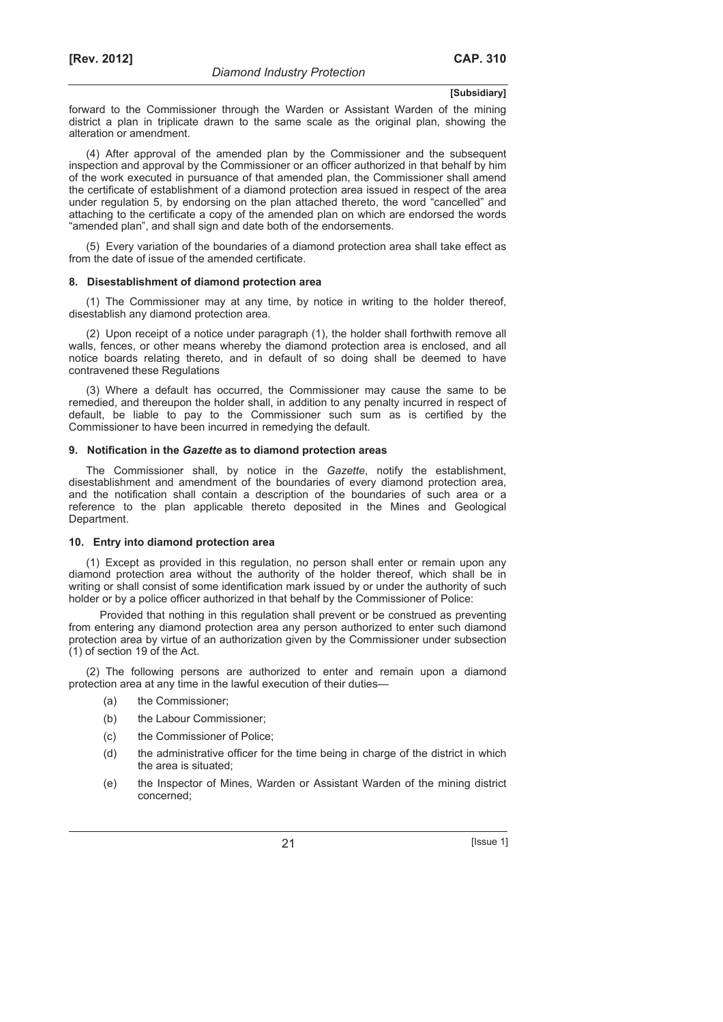forward to the Commissioner through the Warden or Assistant Warden of the mining district a plan in triplicate drawn to the same scale as the original plan, showing the alteration or amendment.

(4) After approval of the amended plan by the Commissioner and the subsequent inspection and approval by the Commissioner or an officer authorized in that behalf by him of the work executed in pursuance of that amended plan, the Commissioner shall amend the certificate of establishment of a diamond protection area issued in respect of the area under regulation 5, by endorsing on the plan attached thereto, the word "cancelled" and attaching to the certificate a copy of the amended plan on which are endorsed the words "amended plan", and shall sign and date both of the endorsements.

(5) Every variation of the boundaries of a diamond protection area shall take effect as from the date of issue of the amended certificate.

#### **8. Disestablishment of diamond protection area**

(1) The Commissioner may at any time, by notice in writing to the holder thereof, disestablish any diamond protection area.

(2) Upon receipt of a notice under paragraph (1), the holder shall forthwith remove all walls, fences, or other means whereby the diamond protection area is enclosed, and all notice boards relating thereto, and in default of so doing shall be deemed to have contravened these Regulations

(3) Where a default has occurred, the Commissioner may cause the same to be remedied, and thereupon the holder shall, in addition to any penalty incurred in respect of default, be liable to pay to the Commissioner such sum as is certified by the Commissioner to have been incurred in remedying the default.

#### **9. Notification in the** *Gazette* **as to diamond protection areas**

The Commissioner shall, by notice in the *Gazette*, notify the establishment, disestablishment and amendment of the boundaries of every diamond protection area, and the notification shall contain a description of the boundaries of such area or a reference to the plan applicable thereto deposited in the Mines and Geological Department.

#### **10. Entry into diamond protection area**

(1) Except as provided in this regulation, no person shall enter or remain upon any diamond protection area without the authority of the holder thereof, which shall be in writing or shall consist of some identification mark issued by or under the authority of such holder or by a police officer authorized in that behalf by the Commissioner of Police:

Provided that nothing in this regulation shall prevent or be construed as preventing from entering any diamond protection area any person authorized to enter such diamond protection area by virtue of an authorization given by the Commissioner under subsection (1) of section 19 of the Act.

(2) The following persons are authorized to enter and remain upon a diamond protection area at any time in the lawful execution of their duties—

- (a) the Commissioner;
- (b) the Labour Commissioner;
- (c) the Commissioner of Police;
- (d) the administrative officer for the time being in charge of the district in which the area is situated;
- (e) the Inspector of Mines, Warden or Assistant Warden of the mining district concerned;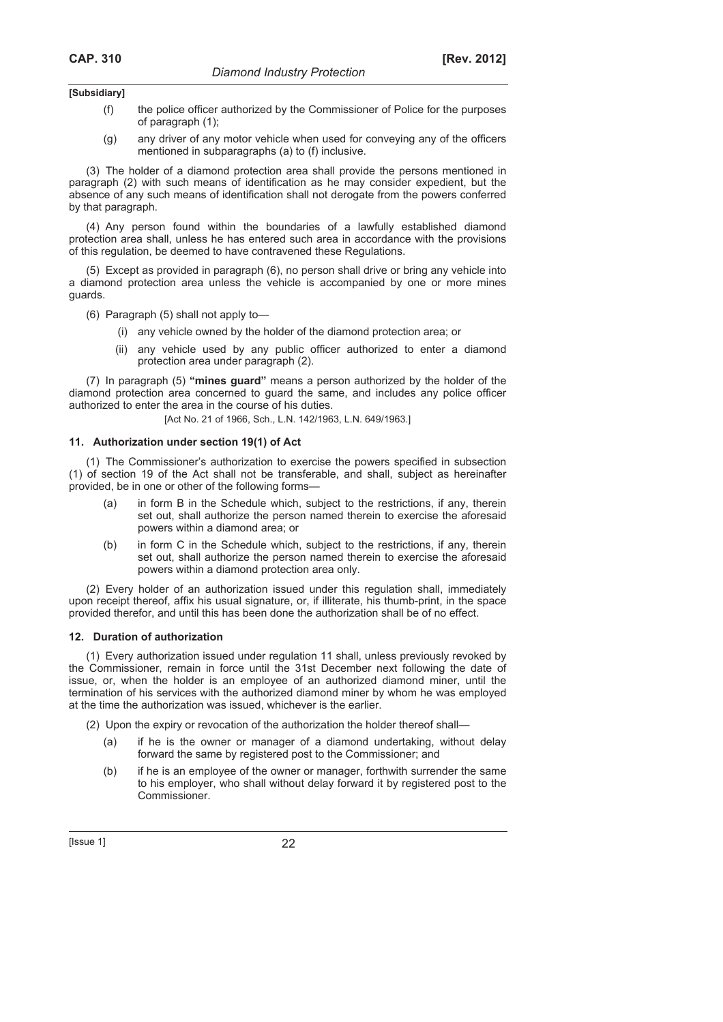- (f) the police officer authorized by the Commissioner of Police for the purposes of paragraph (1);
- (g) any driver of any motor vehicle when used for conveying any of the officers mentioned in subparagraphs (a) to (f) inclusive.

(3) The holder of a diamond protection area shall provide the persons mentioned in paragraph (2) with such means of identification as he may consider expedient, but the absence of any such means of identification shall not derogate from the powers conferred by that paragraph.

(4) Any person found within the boundaries of a lawfully established diamond protection area shall, unless he has entered such area in accordance with the provisions of this regulation, be deemed to have contravened these Regulations.

(5) Except as provided in paragraph (6), no person shall drive or bring any vehicle into a diamond protection area unless the vehicle is accompanied by one or more mines guards.

(6) Paragraph (5) shall not apply to—

- (i) any vehicle owned by the holder of the diamond protection area; or
- (ii) any vehicle used by any public officer authorized to enter a diamond protection area under paragraph (2).

(7) In paragraph (5) **"mines guard"** means a person authorized by the holder of the diamond protection area concerned to guard the same, and includes any police officer authorized to enter the area in the course of his duties.

[Act No. 21 of 1966, Sch., L.N. 142/1963, L.N. 649/1963.]

#### **11. Authorization under section 19(1) of Act**

(1) The Commissioner's authorization to exercise the powers specified in subsection (1) of section 19 of the Act shall not be transferable, and shall, subject as hereinafter provided, be in one or other of the following forms—

- (a) in form B in the Schedule which, subject to the restrictions, if any, therein set out, shall authorize the person named therein to exercise the aforesaid powers within a diamond area; or
- (b) in form C in the Schedule which, subject to the restrictions, if any, therein set out, shall authorize the person named therein to exercise the aforesaid powers within a diamond protection area only.

(2) Every holder of an authorization issued under this regulation shall, immediately upon receipt thereof, affix his usual signature, or, if illiterate, his thumb-print, in the space provided therefor, and until this has been done the authorization shall be of no effect.

### **12. Duration of authorization**

(1) Every authorization issued under regulation 11 shall, unless previously revoked by the Commissioner, remain in force until the 31st December next following the date of issue, or, when the holder is an employee of an authorized diamond miner, until the termination of his services with the authorized diamond miner by whom he was employed at the time the authorization was issued, whichever is the earlier.

(2) Upon the expiry or revocation of the authorization the holder thereof shall—

- if he is the owner or manager of a diamond undertaking, without delay forward the same by registered post to the Commissioner; and
- (b) if he is an employee of the owner or manager, forthwith surrender the same to his employer, who shall without delay forward it by registered post to the Commissioner.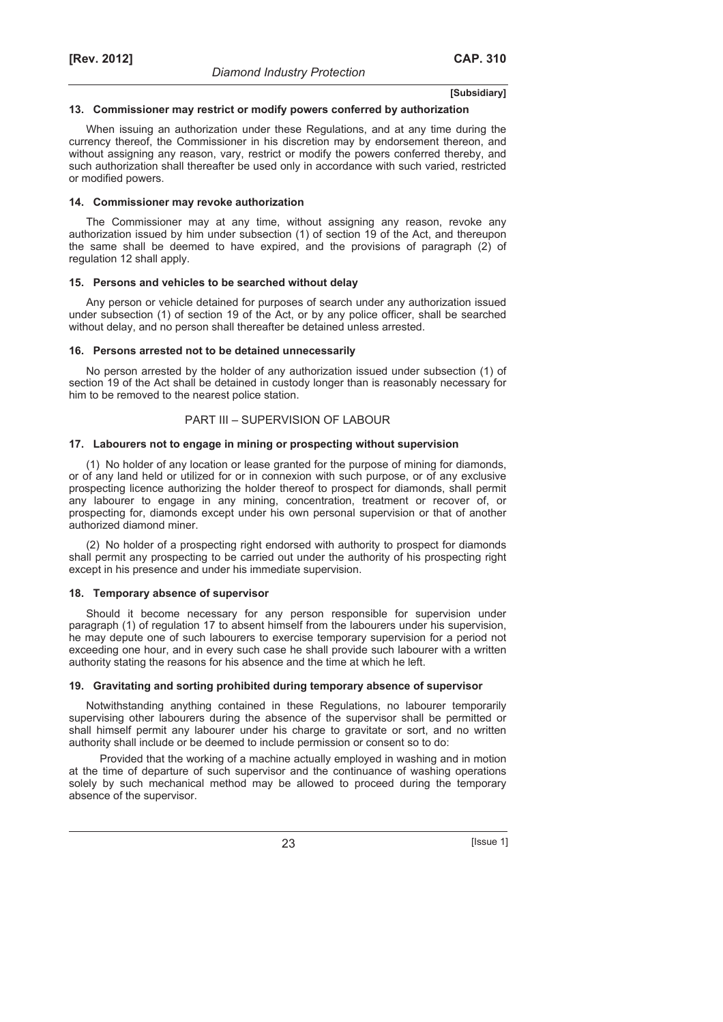#### **13. Commissioner may restrict or modify powers conferred by authorization**

When issuing an authorization under these Regulations, and at any time during the currency thereof, the Commissioner in his discretion may by endorsement thereon, and without assigning any reason, vary, restrict or modify the powers conferred thereby, and such authorization shall thereafter be used only in accordance with such varied, restricted or modified powers.

#### **14. Commissioner may revoke authorization**

The Commissioner may at any time, without assigning any reason, revoke any authorization issued by him under subsection (1) of section 19 of the Act, and thereupon the same shall be deemed to have expired, and the provisions of paragraph (2) of regulation 12 shall apply.

#### **15. Persons and vehicles to be searched without delay**

Any person or vehicle detained for purposes of search under any authorization issued under subsection (1) of section 19 of the Act, or by any police officer, shall be searched without delay, and no person shall thereafter be detained unless arrested.

#### **16. Persons arrested not to be detained unnecessarily**

No person arrested by the holder of any authorization issued under subsection (1) of section 19 of the Act shall be detained in custody longer than is reasonably necessary for him to be removed to the nearest police station.

### PART III – SUPERVISION OF LABOUR

#### **17. Labourers not to engage in mining or prospecting without supervision**

(1) No holder of any location or lease granted for the purpose of mining for diamonds, or of any land held or utilized for or in connexion with such purpose, or of any exclusive prospecting licence authorizing the holder thereof to prospect for diamonds, shall permit any labourer to engage in any mining, concentration, treatment or recover of, or prospecting for, diamonds except under his own personal supervision or that of another authorized diamond miner.

(2) No holder of a prospecting right endorsed with authority to prospect for diamonds shall permit any prospecting to be carried out under the authority of his prospecting right except in his presence and under his immediate supervision.

### **18. Temporary absence of supervisor**

Should it become necessary for any person responsible for supervision under paragraph (1) of regulation 17 to absent himself from the labourers under his supervision, he may depute one of such labourers to exercise temporary supervision for a period not exceeding one hour, and in every such case he shall provide such labourer with a written authority stating the reasons for his absence and the time at which he left.

#### **19. Gravitating and sorting prohibited during temporary absence of supervisor**

Notwithstanding anything contained in these Regulations, no labourer temporarily supervising other labourers during the absence of the supervisor shall be permitted or shall himself permit any labourer under his charge to gravitate or sort, and no written authority shall include or be deemed to include permission or consent so to do:

Provided that the working of a machine actually employed in washing and in motion at the time of departure of such supervisor and the continuance of washing operations solely by such mechanical method may be allowed to proceed during the temporary absence of the supervisor.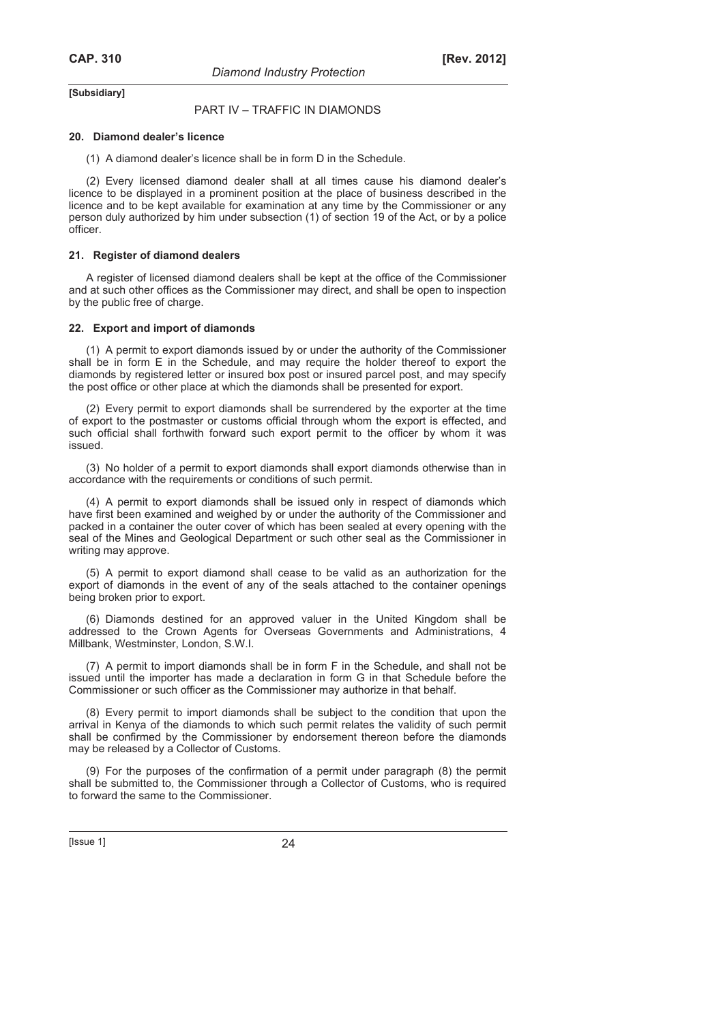# PART IV – TRAFFIC IN DIAMONDS

#### **20. Diamond dealer's licence**

(1) A diamond dealer's licence shall be in form D in the Schedule.

(2) Every licensed diamond dealer shall at all times cause his diamond dealer's licence to be displayed in a prominent position at the place of business described in the licence and to be kept available for examination at any time by the Commissioner or any person duly authorized by him under subsection (1) of section 19 of the Act, or by a police officer.

### **21. Register of diamond dealers**

A register of licensed diamond dealers shall be kept at the office of the Commissioner and at such other offices as the Commissioner may direct, and shall be open to inspection by the public free of charge.

#### **22. Export and import of diamonds**

(1) A permit to export diamonds issued by or under the authority of the Commissioner shall be in form E in the Schedule, and may require the holder thereof to export the diamonds by registered letter or insured box post or insured parcel post, and may specify the post office or other place at which the diamonds shall be presented for export.

(2) Every permit to export diamonds shall be surrendered by the exporter at the time of export to the postmaster or customs official through whom the export is effected, and such official shall forthwith forward such export permit to the officer by whom it was issued.

(3) No holder of a permit to export diamonds shall export diamonds otherwise than in accordance with the requirements or conditions of such permit.

(4) A permit to export diamonds shall be issued only in respect of diamonds which have first been examined and weighed by or under the authority of the Commissioner and packed in a container the outer cover of which has been sealed at every opening with the seal of the Mines and Geological Department or such other seal as the Commissioner in writing may approve.

(5) A permit to export diamond shall cease to be valid as an authorization for the export of diamonds in the event of any of the seals attached to the container openings being broken prior to export.

(6) Diamonds destined for an approved valuer in the United Kingdom shall be addressed to the Crown Agents for Overseas Governments and Administrations, 4 Millbank, Westminster, London, S.W.I.

(7) A permit to import diamonds shall be in form F in the Schedule, and shall not be issued until the importer has made a declaration in form G in that Schedule before the Commissioner or such officer as the Commissioner may authorize in that behalf.

(8) Every permit to import diamonds shall be subject to the condition that upon the arrival in Kenya of the diamonds to which such permit relates the validity of such permit shall be confirmed by the Commissioner by endorsement thereon before the diamonds may be released by a Collector of Customs.

(9) For the purposes of the confirmation of a permit under paragraph (8) the permit shall be submitted to, the Commissioner through a Collector of Customs, who is required to forward the same to the Commissioner.

[Issue 1] 24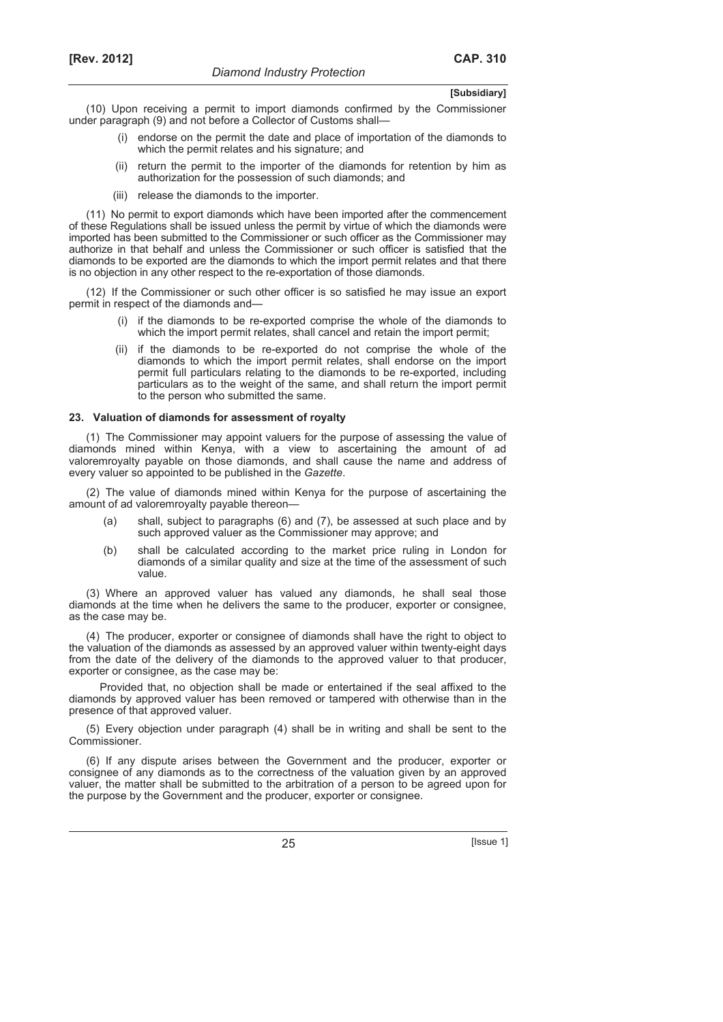(10) Upon receiving a permit to import diamonds confirmed by the Commissioner under paragraph (9) and not before a Collector of Customs shall—

- (i) endorse on the permit the date and place of importation of the diamonds to which the permit relates and his signature; and
- (ii) return the permit to the importer of the diamonds for retention by him as authorization for the possession of such diamonds; and
- (iii) release the diamonds to the importer.

(11) No permit to export diamonds which have been imported after the commencement of these Regulations shall be issued unless the permit by virtue of which the diamonds were imported has been submitted to the Commissioner or such officer as the Commissioner may authorize in that behalf and unless the Commissioner or such officer is satisfied that the diamonds to be exported are the diamonds to which the import permit relates and that there is no objection in any other respect to the re-exportation of those diamonds.

(12) If the Commissioner or such other officer is so satisfied he may issue an export permit in respect of the diamonds and—

- (i) if the diamonds to be re-exported comprise the whole of the diamonds to which the import permit relates, shall cancel and retain the import permit;
- (ii) if the diamonds to be re-exported do not comprise the whole of the diamonds to which the import permit relates, shall endorse on the import permit full particulars relating to the diamonds to be re-exported, including particulars as to the weight of the same, and shall return the import permit to the person who submitted the same.

### **23. Valuation of diamonds for assessment of royalty**

(1) The Commissioner may appoint valuers for the purpose of assessing the value of diamonds mined within Kenya, with a view to ascertaining the amount of ad valoremroyalty payable on those diamonds, and shall cause the name and address of every valuer so appointed to be published in the *Gazette*.

(2) The value of diamonds mined within Kenya for the purpose of ascertaining the amount of ad valoremroyalty payable thereon—

- (a) shall, subject to paragraphs (6) and (7), be assessed at such place and by such approved valuer as the Commissioner may approve; and
- (b) shall be calculated according to the market price ruling in London for diamonds of a similar quality and size at the time of the assessment of such value.

(3) Where an approved valuer has valued any diamonds, he shall seal those diamonds at the time when he delivers the same to the producer, exporter or consignee, as the case may be.

(4) The producer, exporter or consignee of diamonds shall have the right to object to the valuation of the diamonds as assessed by an approved valuer within twenty-eight days from the date of the delivery of the diamonds to the approved valuer to that producer, exporter or consignee, as the case may be:

Provided that, no objection shall be made or entertained if the seal affixed to the diamonds by approved valuer has been removed or tampered with otherwise than in the presence of that approved valuer.

(5) Every objection under paragraph (4) shall be in writing and shall be sent to the Commissioner.

(6) If any dispute arises between the Government and the producer, exporter or consignee of any diamonds as to the correctness of the valuation given by an approved valuer, the matter shall be submitted to the arbitration of a person to be agreed upon for the purpose by the Government and the producer, exporter or consignee.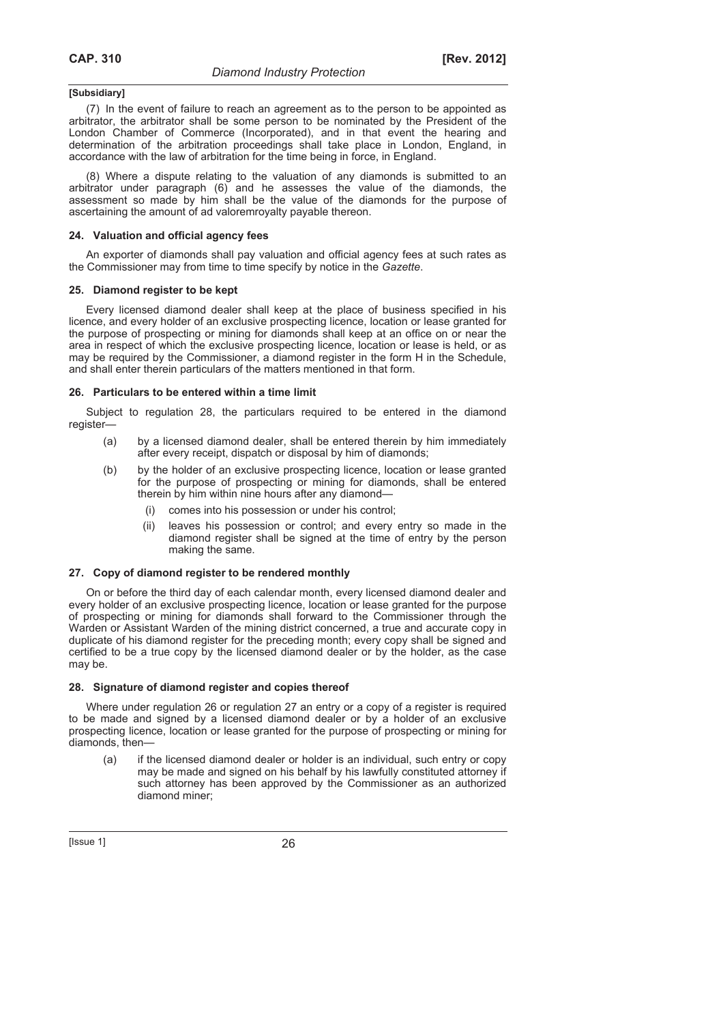(7) In the event of failure to reach an agreement as to the person to be appointed as arbitrator, the arbitrator shall be some person to be nominated by the President of the London Chamber of Commerce (Incorporated), and in that event the hearing and determination of the arbitration proceedings shall take place in London, England, in accordance with the law of arbitration for the time being in force, in England.

(8) Where a dispute relating to the valuation of any diamonds is submitted to an arbitrator under paragraph (6) and he assesses the value of the diamonds, the assessment so made by him shall be the value of the diamonds for the purpose of ascertaining the amount of ad valoremroyalty payable thereon.

### **24. Valuation and official agency fees**

An exporter of diamonds shall pay valuation and official agency fees at such rates as the Commissioner may from time to time specify by notice in the *Gazette*.

### **25. Diamond register to be kept**

Every licensed diamond dealer shall keep at the place of business specified in his licence, and every holder of an exclusive prospecting licence, location or lease granted for the purpose of prospecting or mining for diamonds shall keep at an office on or near the area in respect of which the exclusive prospecting licence, location or lease is held, or as may be required by the Commissioner, a diamond register in the form H in the Schedule, and shall enter therein particulars of the matters mentioned in that form.

# **26. Particulars to be entered within a time limit**

Subject to regulation 28, the particulars required to be entered in the diamond register—

- (a) by a licensed diamond dealer, shall be entered therein by him immediately after every receipt, dispatch or disposal by him of diamonds;
- (b) by the holder of an exclusive prospecting licence, location or lease granted for the purpose of prospecting or mining for diamonds, shall be entered therein by him within nine hours after any diamond—
	- (i) comes into his possession or under his control;
	- (ii) leaves his possession or control; and every entry so made in the diamond register shall be signed at the time of entry by the person making the same.

# **27. Copy of diamond register to be rendered monthly**

On or before the third day of each calendar month, every licensed diamond dealer and every holder of an exclusive prospecting licence, location or lease granted for the purpose of prospecting or mining for diamonds shall forward to the Commissioner through the Warden or Assistant Warden of the mining district concerned, a true and accurate copy in duplicate of his diamond register for the preceding month; every copy shall be signed and certified to be a true copy by the licensed diamond dealer or by the holder, as the case may be.

### **28. Signature of diamond register and copies thereof**

Where under regulation 26 or regulation 27 an entry or a copy of a register is required to be made and signed by a licensed diamond dealer or by a holder of an exclusive prospecting licence, location or lease granted for the purpose of prospecting or mining for diamonds, then—

 (a) if the licensed diamond dealer or holder is an individual, such entry or copy may be made and signed on his behalf by his lawfully constituted attorney if such attorney has been approved by the Commissioner as an authorized diamond miner;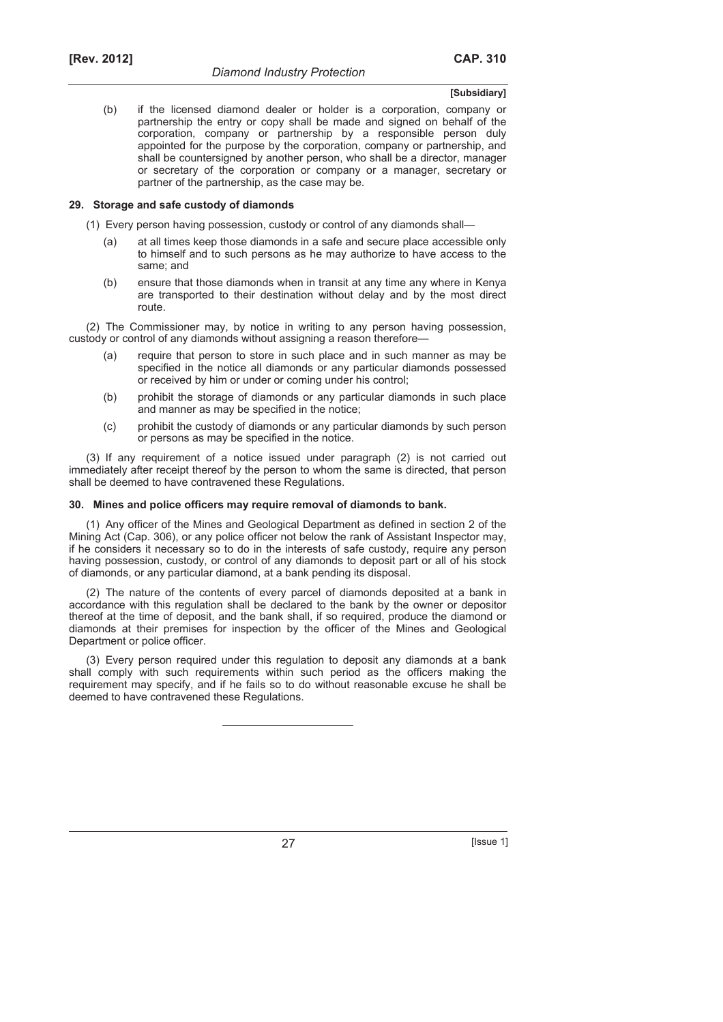(b) if the licensed diamond dealer or holder is a corporation, company or partnership the entry or copy shall be made and signed on behalf of the corporation, company or partnership by a responsible person duly appointed for the purpose by the corporation, company or partnership, and shall be countersigned by another person, who shall be a director, manager or secretary of the corporation or company or a manager, secretary or partner of the partnership, as the case may be.

### **29. Storage and safe custody of diamonds**

- (1) Every person having possession, custody or control of any diamonds shall—
	- (a) at all times keep those diamonds in a safe and secure place accessible only to himself and to such persons as he may authorize to have access to the same; and
	- (b) ensure that those diamonds when in transit at any time any where in Kenya are transported to their destination without delay and by the most direct route.

(2) The Commissioner may, by notice in writing to any person having possession, custody or control of any diamonds without assigning a reason therefore—

- (a) require that person to store in such place and in such manner as may be specified in the notice all diamonds or any particular diamonds possessed or received by him or under or coming under his control;
- (b) prohibit the storage of diamonds or any particular diamonds in such place and manner as may be specified in the notice;
- (c) prohibit the custody of diamonds or any particular diamonds by such person or persons as may be specified in the notice.

(3) If any requirement of a notice issued under paragraph (2) is not carried out immediately after receipt thereof by the person to whom the same is directed, that person shall be deemed to have contravened these Regulations.

### **30. Mines and police officers may require removal of diamonds to bank.**

(1) Any officer of the Mines and Geological Department as defined in section 2 of the Mining Act (Cap. 306), or any police officer not below the rank of Assistant Inspector may, if he considers it necessary so to do in the interests of safe custody, require any person having possession, custody, or control of any diamonds to deposit part or all of his stock of diamonds, or any particular diamond, at a bank pending its disposal.

(2) The nature of the contents of every parcel of diamonds deposited at a bank in accordance with this regulation shall be declared to the bank by the owner or depositor thereof at the time of deposit, and the bank shall, if so required, produce the diamond or diamonds at their premises for inspection by the officer of the Mines and Geological Department or police officer.

(3) Every person required under this regulation to deposit any diamonds at a bank shall comply with such requirements within such period as the officers making the requirement may specify, and if he fails so to do without reasonable excuse he shall be deemed to have contravened these Regulations.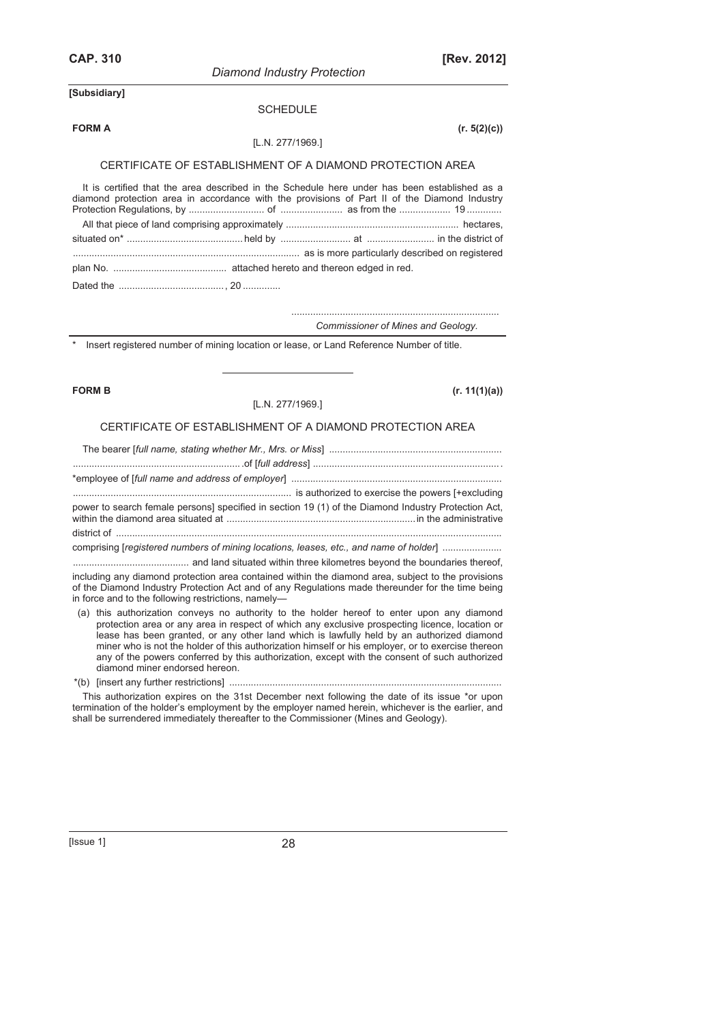| <b>CAP. 310</b> |                                                                                                                                                                                                                                                                                                                                                                                                                                                                                                                                   | [Rev. 2012]   |
|-----------------|-----------------------------------------------------------------------------------------------------------------------------------------------------------------------------------------------------------------------------------------------------------------------------------------------------------------------------------------------------------------------------------------------------------------------------------------------------------------------------------------------------------------------------------|---------------|
|                 | <b>Diamond Industry Protection</b>                                                                                                                                                                                                                                                                                                                                                                                                                                                                                                |               |
| [Subsidiary]    |                                                                                                                                                                                                                                                                                                                                                                                                                                                                                                                                   |               |
|                 | <b>SCHEDULE</b>                                                                                                                                                                                                                                                                                                                                                                                                                                                                                                                   |               |
| <b>FORM A</b>   |                                                                                                                                                                                                                                                                                                                                                                                                                                                                                                                                   | (r. 5(2)(c))  |
|                 | [L.N. 277/1969.]                                                                                                                                                                                                                                                                                                                                                                                                                                                                                                                  |               |
|                 | CERTIFICATE OF ESTABLISHMENT OF A DIAMOND PROTECTION AREA                                                                                                                                                                                                                                                                                                                                                                                                                                                                         |               |
|                 | It is certified that the area described in the Schedule here under has been established as a<br>diamond protection area in accordance with the provisions of Part II of the Diamond Industry                                                                                                                                                                                                                                                                                                                                      |               |
|                 |                                                                                                                                                                                                                                                                                                                                                                                                                                                                                                                                   |               |
|                 |                                                                                                                                                                                                                                                                                                                                                                                                                                                                                                                                   |               |
|                 |                                                                                                                                                                                                                                                                                                                                                                                                                                                                                                                                   |               |
|                 |                                                                                                                                                                                                                                                                                                                                                                                                                                                                                                                                   |               |
|                 |                                                                                                                                                                                                                                                                                                                                                                                                                                                                                                                                   |               |
|                 | Commissioner of Mines and Geology.                                                                                                                                                                                                                                                                                                                                                                                                                                                                                                |               |
|                 | Insert registered number of mining location or lease, or Land Reference Number of title.                                                                                                                                                                                                                                                                                                                                                                                                                                          |               |
|                 |                                                                                                                                                                                                                                                                                                                                                                                                                                                                                                                                   | (r. 11(1)(a)) |
| <b>FORM B</b>   | [L.N. 277/1969.]                                                                                                                                                                                                                                                                                                                                                                                                                                                                                                                  |               |
|                 | CERTIFICATE OF ESTABLISHMENT OF A DIAMOND PROTECTION AREA                                                                                                                                                                                                                                                                                                                                                                                                                                                                         |               |
|                 |                                                                                                                                                                                                                                                                                                                                                                                                                                                                                                                                   |               |
|                 |                                                                                                                                                                                                                                                                                                                                                                                                                                                                                                                                   |               |
|                 |                                                                                                                                                                                                                                                                                                                                                                                                                                                                                                                                   |               |
|                 |                                                                                                                                                                                                                                                                                                                                                                                                                                                                                                                                   |               |
|                 | power to search female persons] specified in section 19 (1) of the Diamond Industry Protection Act,                                                                                                                                                                                                                                                                                                                                                                                                                               |               |
|                 |                                                                                                                                                                                                                                                                                                                                                                                                                                                                                                                                   |               |
|                 | comprising [registered numbers of mining locations, leases, etc., and name of holder]                                                                                                                                                                                                                                                                                                                                                                                                                                             |               |
|                 |                                                                                                                                                                                                                                                                                                                                                                                                                                                                                                                                   |               |
|                 | including any diamond protection area contained within the diamond area, subject to the provisions<br>of the Diamond Industry Protection Act and of any Regulations made thereunder for the time being<br>in force and to the following restrictions, namely-                                                                                                                                                                                                                                                                     |               |
|                 | (a) this authorization conveys no authority to the holder hereof to enter upon any diamond<br>protection area or any area in respect of which any exclusive prospecting licence, location or<br>lease has been granted, or any other land which is lawfully held by an authorized diamond<br>miner who is not the holder of this authorization himself or his employer, or to exercise thereon<br>any of the powers conferred by this authorization, except with the consent of such authorized<br>diamond miner endorsed hereon. |               |
|                 | This authorization expires on the 31st December next following the date of its issue *or upon                                                                                                                                                                                                                                                                                                                                                                                                                                     |               |

shall be surrendered immediately thereafter to the Commissioner (Mines and Geology).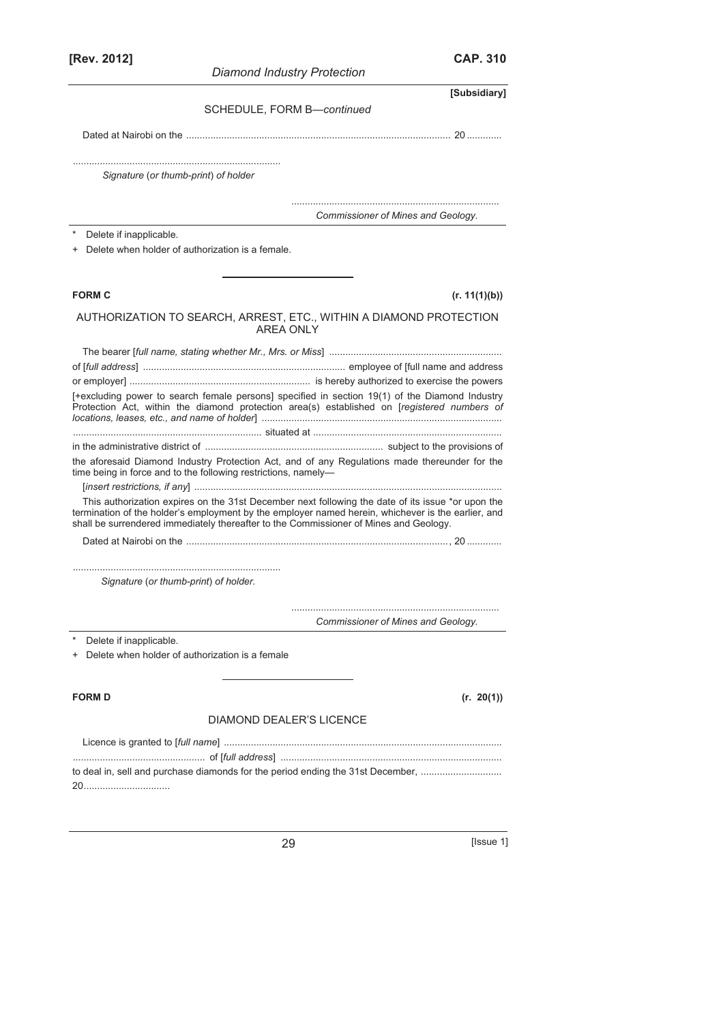| [Rev. 2012]                           | <b>Diamond Industry Protection</b>                                                                                                                                                                                                                                                               | <b>CAP. 310</b> |
|---------------------------------------|--------------------------------------------------------------------------------------------------------------------------------------------------------------------------------------------------------------------------------------------------------------------------------------------------|-----------------|
|                                       |                                                                                                                                                                                                                                                                                                  | [Subsidiary]    |
|                                       | SCHEDULE, FORM B-continued                                                                                                                                                                                                                                                                       |                 |
|                                       |                                                                                                                                                                                                                                                                                                  |                 |
|                                       |                                                                                                                                                                                                                                                                                                  |                 |
| Signature (or thumb-print) of holder  |                                                                                                                                                                                                                                                                                                  |                 |
|                                       | Commissioner of Mines and Geology.                                                                                                                                                                                                                                                               |                 |
| Delete if inapplicable.               |                                                                                                                                                                                                                                                                                                  |                 |
|                                       | Delete when holder of authorization is a female.                                                                                                                                                                                                                                                 |                 |
| <b>FORM C</b>                         |                                                                                                                                                                                                                                                                                                  | (r. 11(1)(b))   |
|                                       | AUTHORIZATION TO SEARCH, ARREST, ETC., WITHIN A DIAMOND PROTECTION<br><b>AREA ONLY</b>                                                                                                                                                                                                           |                 |
|                                       |                                                                                                                                                                                                                                                                                                  |                 |
|                                       |                                                                                                                                                                                                                                                                                                  |                 |
|                                       |                                                                                                                                                                                                                                                                                                  |                 |
|                                       | [+excluding power to search female persons] specified in section 19(1) of the Diamond Industry<br>Protection Act, within the diamond protection area(s) established on [registered numbers of                                                                                                    |                 |
|                                       |                                                                                                                                                                                                                                                                                                  |                 |
|                                       |                                                                                                                                                                                                                                                                                                  |                 |
|                                       | the aforesaid Diamond Industry Protection Act, and of any Regulations made thereunder for the<br>time being in force and to the following restrictions, namely-                                                                                                                                  |                 |
|                                       |                                                                                                                                                                                                                                                                                                  |                 |
|                                       | This authorization expires on the 31st December next following the date of its issue *or upon the<br>termination of the holder's employment by the employer named herein, whichever is the earlier, and<br>shall be surrendered immediately thereafter to the Commissioner of Mines and Geology. |                 |
|                                       |                                                                                                                                                                                                                                                                                                  |                 |
|                                       |                                                                                                                                                                                                                                                                                                  |                 |
| Signature (or thumb-print) of holder. |                                                                                                                                                                                                                                                                                                  |                 |
|                                       | Commissioner of Mines and Geology.                                                                                                                                                                                                                                                               |                 |
| Delete if inapplicable.               |                                                                                                                                                                                                                                                                                                  |                 |
| +                                     | Delete when holder of authorization is a female                                                                                                                                                                                                                                                  |                 |
| <b>FORM D</b>                         |                                                                                                                                                                                                                                                                                                  | (r. 20(1))      |
|                                       | DIAMOND DEALER'S LICENCE                                                                                                                                                                                                                                                                         |                 |
|                                       |                                                                                                                                                                                                                                                                                                  |                 |
|                                       | to deal in, sell and purchase diamonds for the period ending the 31st December,                                                                                                                                                                                                                  |                 |
|                                       |                                                                                                                                                                                                                                                                                                  |                 |
|                                       |                                                                                                                                                                                                                                                                                                  |                 |

29 [Issue 1]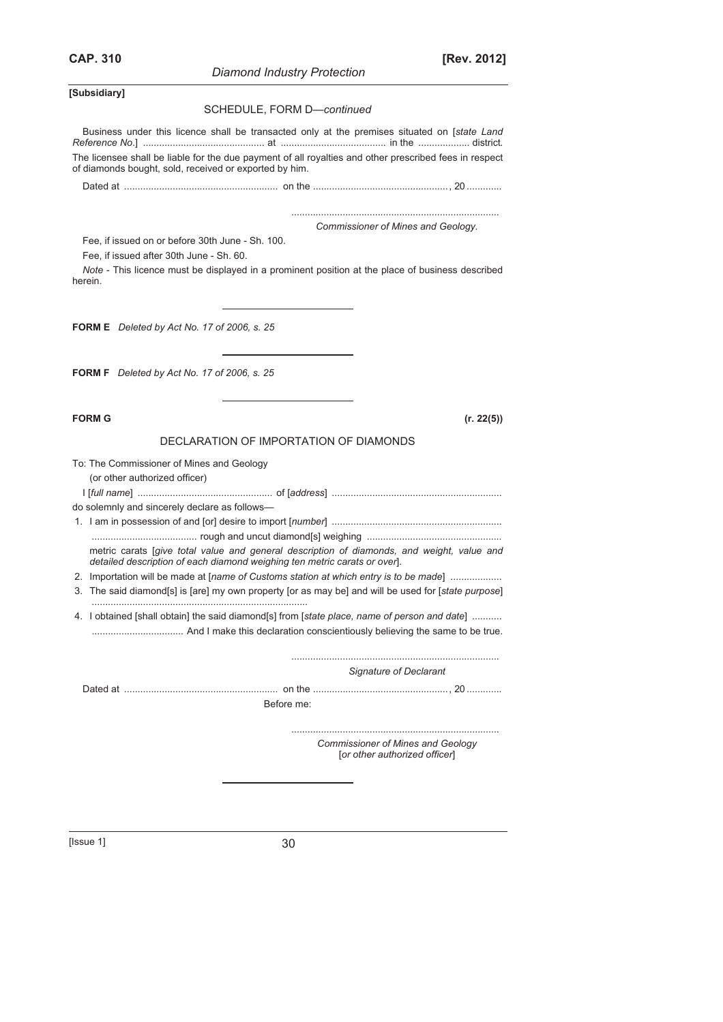*Diamond Industry Protection* 

**CAP. 310 [Rev. 2012]**

**[Subsidiary]** 

#### SCHEDULE, FORM D—*continued*

Business under this licence shall be transacted only at the premises situated on [*state Land Reference No*.] ............................................. at ....................................... in the ................... district. The licensee shall be liable for the due payment of all royalties and other prescribed fees in respect of diamonds bought, sold, received or exported by him.

Dated at ......................................................... on the .................................................., 20 .............

#### ............................................................................. *Commissioner of Mines and Geology.*

Fee, if issued on or before 30th June - Sh. 100.

Fee, if issued after 30th June - Sh. 60.

*Note* - This licence must be displayed in a prominent position at the place of business described herein.

**FORM E** *Deleted by Act No. 17 of 2006, s. 25*

**FORM F** *Deleted by Act No. 17 of 2006, s. 25*

#### **FORM G (r. 22(5))**

#### DECLARATION OF IMPORTATION OF DIAMONDS

| To: The Commissioner of Mines and Geology                                                                                                                                      |
|--------------------------------------------------------------------------------------------------------------------------------------------------------------------------------|
| (or other authorized officer)                                                                                                                                                  |
|                                                                                                                                                                                |
| do solemnly and sincerely declare as follows-                                                                                                                                  |
|                                                                                                                                                                                |
|                                                                                                                                                                                |
| metric carats <i>saive total value and general description of diamonds</i> , and weight, value and<br>detailed description of each diamond weighing ten metric carats or over. |
| 2. Importation will be made at [name of Customs station at which entry is to be made]                                                                                          |
| 3. The said diamond[s] is [are] my own property [or as may be] and will be used for [state purpose]                                                                            |
| 4. I obtained [shall obtain] the said diamond[s] from [state place, name of person and date]                                                                                   |
| Signature of Declarant                                                                                                                                                         |

Dated at ......................................................... on the .................................................., 20 ............. Before me:

> ............................................................................. *Commissioner of Mines and Geology*  [*or other authorized officer*]

 $[|$ ssue 1 $]$  30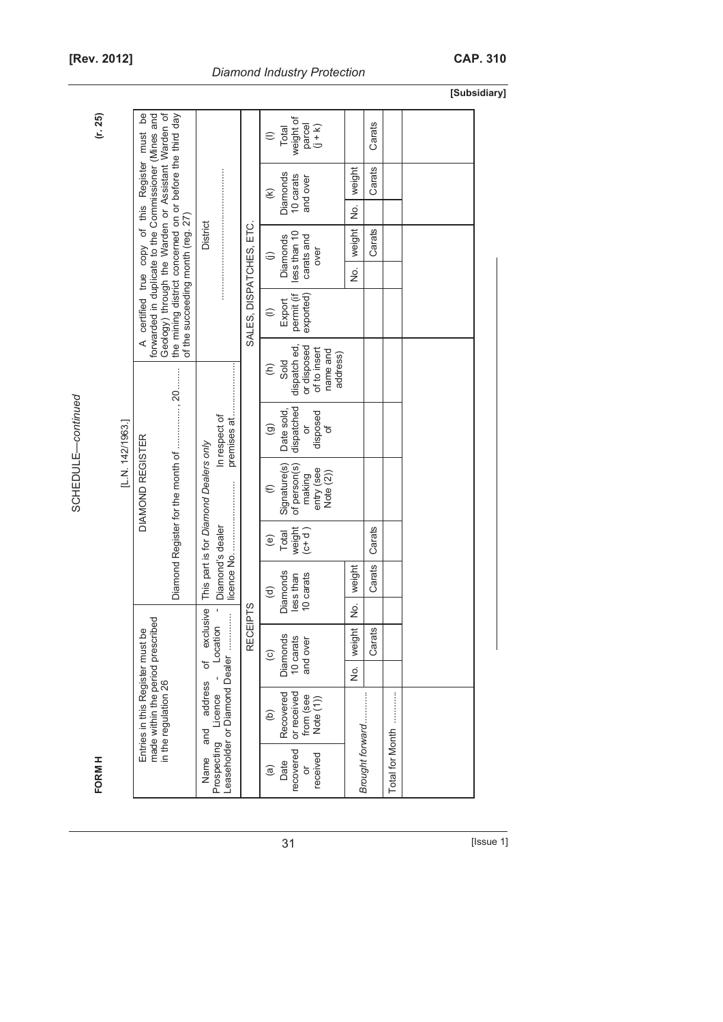| Ĺ |
|---|
|   |
|   |
|   |
|   |
|   |
| í |
| J |
|   |

**FORM H (r. 25)**  FORM H

|  | <b>Diamond Industry Protection</b> |
|--|------------------------------------|
|  |                                    |

**[Subsidiary]** 

| (r. 25) | [L.N. 142/1963.]                                                                                                  | Geology) through the Warden or Assistant Warden of<br>B<br>forwarded in duplicate to the Commissioner (Mines and<br>the mining district concerned on or before the third day<br>must<br>A certified true copy of this Register<br>of the succeeding month (reg. 27) | District<br>In respect of                                                                                       | SALES, DISPATCHES, ETC.                                             | weight of<br>parcel<br>$(1 + k)$<br>Total<br>$\in$<br>Diamonds<br>10 carats<br>and over<br>E<br>less than 10<br>carats and<br>Diamonds<br>over<br>$\ominus$<br>permit (if<br>exported)<br>Export<br>$\oplus$<br>or disposed<br>dispatch ed<br>of to insert<br>name and<br>address)<br>Sold<br>$\widehat{\epsilon}$<br>dispatched<br>Date sold,<br>disposed<br>ŏ<br>$\widehat{\Theta}$<br>đ<br>$\in$ | weight<br>ġ<br>weight<br>ģ | Carats<br>Carats<br>Carats                               |        |        |  |
|---------|-------------------------------------------------------------------------------------------------------------------|---------------------------------------------------------------------------------------------------------------------------------------------------------------------------------------------------------------------------------------------------------------------|-----------------------------------------------------------------------------------------------------------------|---------------------------------------------------------------------|-----------------------------------------------------------------------------------------------------------------------------------------------------------------------------------------------------------------------------------------------------------------------------------------------------------------------------------------------------------------------------------------------------|----------------------------|----------------------------------------------------------|--------|--------|--|
|         |                                                                                                                   |                                                                                                                                                                                                                                                                     |                                                                                                                 |                                                                     |                                                                                                                                                                                                                                                                                                                                                                                                     |                            |                                                          |        |        |  |
|         |                                                                                                                   |                                                                                                                                                                                                                                                                     |                                                                                                                 |                                                                     |                                                                                                                                                                                                                                                                                                                                                                                                     |                            |                                                          |        |        |  |
|         |                                                                                                                   |                                                                                                                                                                                                                                                                     |                                                                                                                 |                                                                     |                                                                                                                                                                                                                                                                                                                                                                                                     |                            |                                                          |        |        |  |
|         | DIAMOND REGISTER<br>made within the period prescribed<br>Entries in this Register must be<br>in the regulation 26 | This part is for Diamond Dealers only                                                                                                                                                                                                                               |                                                                                                                 | Signature(s)<br>of person(s)<br>entry (see<br>Note (2))<br>making   |                                                                                                                                                                                                                                                                                                                                                                                                     |                            |                                                          |        |        |  |
|         |                                                                                                                   |                                                                                                                                                                                                                                                                     |                                                                                                                 |                                                                     | weight<br>$(c+d)$<br>Total<br>$\widehat{e}$                                                                                                                                                                                                                                                                                                                                                         |                            | Carats                                                   |        |        |  |
|         |                                                                                                                   |                                                                                                                                                                                                                                                                     | Diamond's dealer                                                                                                |                                                                     |                                                                                                                                                                                                                                                                                                                                                                                                     |                            | Diamonds<br>10 carats<br>less than<br>$\widehat{\sigma}$ | weight | Carats |  |
|         |                                                                                                                   |                                                                                                                                                                                                                                                                     | ECEIPTS<br><b>exclusive</b><br>Location<br>Œ<br>Leaseholder or Diamond Dealer<br>ď<br>address<br>Licence<br>and |                                                                     |                                                                                                                                                                                                                                                                                                                                                                                                     | ģ                          |                                                          |        |        |  |
|         |                                                                                                                   |                                                                                                                                                                                                                                                                     |                                                                                                                 |                                                                     | Diamonds<br>10 carats<br>and over<br>$\odot$                                                                                                                                                                                                                                                                                                                                                        | weight                     | Carats                                                   |        |        |  |
|         |                                                                                                                   |                                                                                                                                                                                                                                                                     |                                                                                                                 |                                                                     |                                                                                                                                                                                                                                                                                                                                                                                                     | $\frac{1}{2}$              |                                                          |        |        |  |
|         |                                                                                                                   |                                                                                                                                                                                                                                                                     |                                                                                                                 | Recovered<br>or received<br>from (see<br>Note (1))<br>$\widehat{e}$ | Brought forward                                                                                                                                                                                                                                                                                                                                                                                     |                            | Total for Month                                          |        |        |  |
| FORM H  |                                                                                                                   |                                                                                                                                                                                                                                                                     | Prospecting<br>Name                                                                                             |                                                                     | recovered<br>received<br>Date<br>ල)<br>ŏ                                                                                                                                                                                                                                                                                                                                                            |                            |                                                          |        |        |  |

**31** [Issue 1]